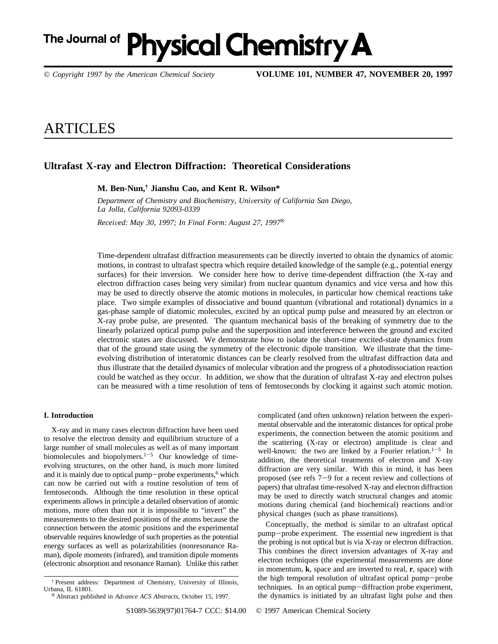# The Journal of Physical Chemistry A

*© Copyright 1997 by the American Chemical Society* **VOLUME 101, NUMBER 47, NOVEMBER 20, 1997**

## ARTICLES

### **Ultrafast X-ray and Electron Diffraction: Theoretical Considerations**

**M. Ben-Nun,† Jianshu Cao, and Kent R. Wilson\***

*Department of Chemistry and Biochemistry, Uni*V*ersity of California San Diego, La Jolla, California 92093-0339*

*Received: May 30, 1997; In Final Form: August 27, 1997*<sup>®</sup>

Time-dependent ultrafast diffraction measurements can be directly inverted to obtain the dynamics of atomic motions, in contrast to ultrafast spectra which require detailed knowledge of the sample (e.g., potential energy surfaces) for their inversion. We consider here how to derive time-dependent diffraction (the X-ray and electron diffraction cases being very similar) from nuclear quantum dynamics and vice versa and how this may be used to directly observe the atomic motions in molecules, in particular how chemical reactions take place. Two simple examples of dissociative and bound quantum (vibrational and rotational) dynamics in a gas-phase sample of diatomic molecules, excited by an optical pump pulse and measured by an electron or X-ray probe pulse, are presented. The quantum mechanical basis of the breaking of symmetry due to the linearly polarized optical pump pulse and the superposition and interference between the ground and excited electronic states are discussed. We demonstrate how to isolate the short-time excited-state dynamics from that of the ground state using the symmetry of the electronic dipole transition. We illustrate that the timeevolving distribution of interatomic distances can be clearly resolved from the ultrafast diffraction data and thus illustrate that the detailed dynamics of molecular vibration and the progress of a photodissociation reaction could be watched as they occur. In addition, we show that the duration of ultrafast X-ray and electron pulses can be measured with a time resolution of tens of femtoseconds by clocking it against such atomic motion.

#### **I. Introduction**

X-ray and in many cases electron diffraction have been used to resolve the electron density and equilibrium structure of a large number of small molecules as well as of many important biomolecules and biopolymers.<sup>1-5</sup> Our knowledge of timeevolving structures, on the other hand, is much more limited and it is mainly due to optical pump-probe experiments,<sup>6</sup> which can now be carried out with a routine resolution of tens of femtoseconds. Although the time resolution in these optical experiments allows in principle a detailed observation of atomic motions, more often than not it is impossible to "invert" the measurements to the desired positions of the atoms because the connection between the atomic positions and the experimental observable requires knowledge of such properties as the potential energy surfaces as well as polarizabilities (nonresonance Raman), dipole moments (infrared), and transition dipole moments (electronic absorption and resonance Raman). Unlike this rather complicated (and often unknown) relation between the experimental observable and the interatomic distances for optical probe experiments, the connection between the atomic positions and the scattering (X-ray or electron) amplitude is clear and well-known: the two are linked by a Fourier relation.<sup>1-5</sup> In addition, the theoretical treatments of electron and X-ray diffraction are very similar. With this in mind, it has been proposed (see refs 7-9 for a recent review and collections of papers) that ultrafast time-resolved X-ray and electron diffraction may be used to directly watch structural changes and atomic motions during chemical (and biochemical) reactions and/or physical changes (such as phase transitions).

Conceptually, the method is similar to an ultrafast optical pump-probe experiment. The essential new ingredient is that the probing is not optical but is via X-ray or electron diffraction. This combines the direct inversion advantages of X-ray and electron techniques (the experimental measurements are done in momentum, **k**, space and are inverted to real, **r**, space) with the high temporal resolution of ultrafast optical pump-probe techniques. In an optical pump-diffraction probe experiment, the dynamics is initiated by an ultrafast light pulse and then

<sup>†</sup> Present address: Department of Chemistry, University of Illinois,

<sup>&</sup>lt;sup>8</sup> Abstract published in *Advance ACS Abstracts*, October 15, 1997.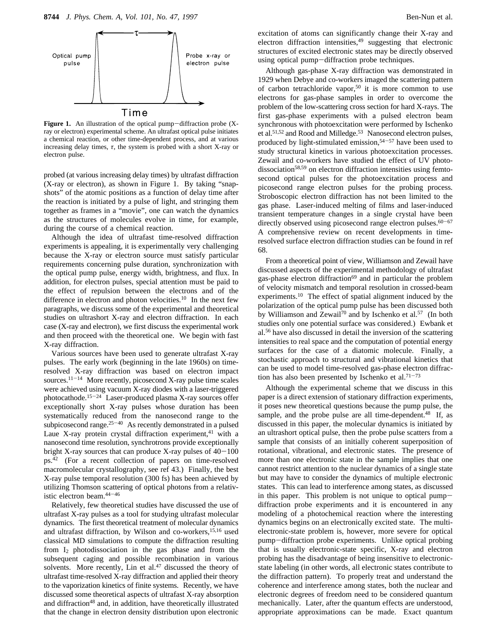

Figure 1. An illustration of the optical pump-diffraction probe (Xray or electron) experimental scheme. An ultrafast optical pulse initiates a chemical reaction, or other time-dependent process, and at various increasing delay times,  $\tau$ , the system is probed with a short X-ray or electron pulse.

probed (at various increasing delay times) by ultrafast diffraction (X-ray or electron), as shown in Figure 1. By taking "snapshots" of the atomic positions as a function of delay time after the reaction is initiated by a pulse of light, and stringing them together as frames in a "movie", one can watch the dynamics as the structures of molecules evolve in time, for example, during the course of a chemical reaction.

Although the idea of ultrafast time-resolved diffraction experiments is appealing, it is experimentally very challenging because the X-ray or electron source must satisfy particular requirements concerning pulse duration, synchronization with the optical pump pulse, energy width, brightness, and flux. In addition, for electron pulses, special attention must be paid to the effect of repulsion between the electrons and of the difference in electron and photon velocities.<sup>10</sup> In the next few paragraphs, we discuss some of the experimental and theoretical studies on ultrashort X-ray and electron diffraction. In each case (X-ray and electron), we first discuss the experimental work and then proceed with the theoretical one. We begin with fast X-ray diffraction.

Various sources have been used to generate ultrafast X-ray pulses. The early work (beginning in the late 1960s) on timeresolved X-ray diffraction was based on electron impact sources.<sup>11-14</sup> More recently, picosecond X-ray pulse time scales were achieved using vacuum X-ray diodes with a laser-triggered photocathode.15-<sup>24</sup> Laser-produced plasma X-ray sources offer exceptionally short X-ray pulses whose duration has been systematically reduced from the nanosecond range to the subpicosecond range.<sup>25-40</sup> As recently demonstrated in a pulsed Laue X-ray protein crystal diffraction experiment,  $41$  with a nanosecond time resolution, synchrotrons provide exceptionally bright X-ray sources that can produce X-ray pulses of  $40-100$ ps.42 (For a recent collection of papers on time-resolved macromolecular crystallography, see ref 43.) Finally, the best X-ray pulse temporal resolution (300 fs) has been achieved by utilizing Thomson scattering of optical photons from a relativistic electron beam.44-<sup>46</sup>

Relatively, few theoretical studies have discussed the use of ultrafast X-ray pulses as a tool for studying ultrafast molecular dynamics. The first theoretical treatment of molecular dynamics and ultrafast diffraction, by Wilson and co-workers,<sup>15,16</sup> used classical MD simulations to compute the diffraction resulting from  $I_2$  photodissociation in the gas phase and from the subsequent caging and possible recombination in various solvents. More recently, Lin et al. $47$  discussed the theory of ultrafast time-resolved X-ray diffraction and applied their theory to the vaporization kinetics of finite systems. Recently, we have discussed some theoretical aspects of ultrafast X-ray absorption and diffraction<sup>48</sup> and, in addition, have theoretically illustrated that the change in electron density distribution upon electronic excitation of atoms can significantly change their X-ray and electron diffraction intensities,<sup>49</sup> suggesting that electronic structures of excited electronic states may be directly observed using optical pump-diffraction probe techniques.

Although gas-phase X-ray diffraction was demonstrated in 1929 when Debye and co-workers imaged the scattering pattern of carbon tetrachloride vapor,<sup>50</sup> it is more common to use electrons for gas-phase samples in order to overcome the problem of the low-scattering cross section for hard X-rays. The first gas-phase experiments with a pulsed electron beam synchronous with photoexcitation were performed by Ischenko et al.<sup>51,52</sup> and Rood and Milledge.<sup>53</sup> Nanosecond electron pulses, produced by light-stimulated emission, $54-57$  have been used to study structural kinetics in various photoexcitation processes. Zewail and co-workers have studied the effect of UV photodissociation<sup>58,59</sup> on electron diffraction intensities using femtosecond optical pulses for the photoexcitation process and picosecond range electron pulses for the probing process. Stroboscopic electron diffraction has not been limited to the gas phase. Laser-induced melting of films and laser-induced transient temperature changes in a single crystal have been directly observed using picosecond range electron pulses. $60-67$ A comprehensive review on recent developments in timeresolved surface electron diffraction studies can be found in ref 68.

From a theoretical point of view, Williamson and Zewail have discussed aspects of the experimental methodology of ultrafast gas-phase electron diffraction<sup>69</sup> and in particular the problem of velocity mismatch and temporal resolution in crossed-beam experiments.10 The effect of spatial alignment induced by the polarization of the optical pump pulse has been discussed both by Williamson and  $Zewail^{70}$  and by Ischenko et al.<sup>57</sup> (In both studies only one potential surface was considered.) Ewbank et al.56 have also discussed in detail the inversion of the scattering intensities to real space and the computation of potential energy surfaces for the case of a diatomic molecule. Finally, a stochastic approach to structural and vibrational kinetics that can be used to model time-resolved gas-phase electron diffraction has also been presented by Ischenko et al.<sup>71-73</sup>

Although the experimental scheme that we discuss in this paper is a direct extension of stationary diffraction experiments, it poses new theoretical questions because the pump pulse, the sample, and the probe pulse are all time-dependent.<sup>48</sup> If, as discussed in this paper, the molecular dynamics is initiated by an ultrashort optical pulse, then the probe pulse scatters from a sample that consists of an initially coherent superposition of rotational, vibrational, and electronic states. The presence of more than one electronic state in the sample implies that one cannot restrict attention to the nuclear dynamics of a single state but may have to consider the dynamics of multiple electronic states. This can lead to interference among states, as discussed in this paper. This problem is not unique to optical pumpdiffraction probe experiments and it is encountered in any modeling of a photochemical reaction where the interesting dynamics begins on an electronically excited state. The multielectronic-state problem is, however, more severe for optical pump-diffraction probe experiments. Unlike optical probing that is usually electronic-state specific, X-ray and electron probing has the disadvantage of being insensitive to electronicstate labeling (in other words, all electronic states contribute to the diffraction pattern). To properly treat and understand the coherence and interference among states, both the nuclear and electronic degrees of freedom need to be considered quantum mechanically. Later, after the quantum effects are understood, appropriate approximations can be made. Exact quantum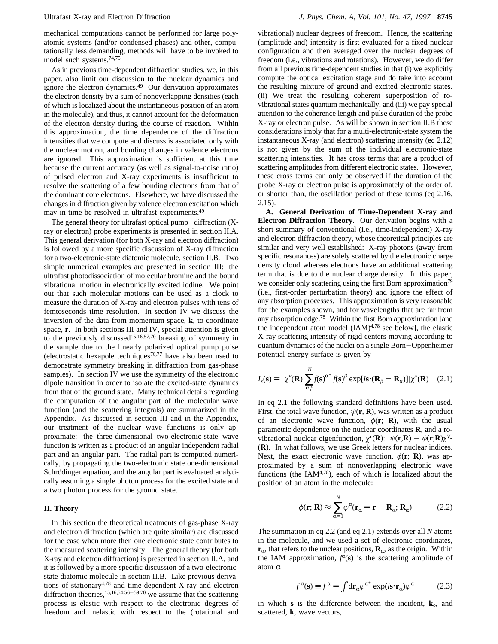mechanical computations cannot be performed for large polyatomic systems (and/or condensed phases) and other, computationally less demanding, methods will have to be invoked to model such systems.74,75

As in previous time-dependent diffraction studies, we, in this paper, also limit our discussion to the nuclear dynamics and ignore the electron dynamics.49 Our derivation approximates the electron density by a sum of nonoverlapping densities (each of which is localized about the instantaneous position of an atom in the molecule), and thus, it cannot account for the deformation of the electron density during the course of reaction. Within this approximation, the time dependence of the diffraction intensities that we compute and discuss is associated only with the nuclear motion, and bonding changes in valence electrons are ignored. This approximation is sufficient at this time because the current accuracy (as well as signal-to-noise ratio) of pulsed electron and X-ray experiments is insufficient to resolve the scattering of a few bonding electrons from that of the dominant core electrons. Elsewhere, we have discussed the changes in diffraction given by valence electron excitation which may in time be resolved in ultrafast experiments.<sup>49</sup>

The general theory for ultrafast optical pump-diffraction (Xray or electron) probe experiments is presented in section II.A. This general derivation (for both X-ray and electron diffraction) is followed by a more specific discussion of X-ray diffraction for a two-electronic-state diatomic molecule, section II.B. Two simple numerical examples are presented in section III: the ultrafast photodissociation of molecular bromine and the bound vibrational motion in electronically excited iodine. We point out that such molecular motions can be used as a clock to measure the duration of X-ray and electron pulses with tens of femtoseconds time resolution. In section IV we discuss the inversion of the data from momentum space, **k**, to coordinate space, **r**. In both sections III and IV, special attention is given to the previously discussed<sup>15,16,57,70</sup> breaking of symmetry in the sample due to the linearly polarized optical pump pulse (electrostatic hexapole techniques<sup>76,77</sup> have also been used to demonstrate symmetry breaking in diffraction from gas-phase samples). In section IV we use the symmetry of the electronic dipole transition in order to isolate the excited-state dynamics from that of the ground state. Many technical details regarding the computation of the angular part of the molecular wave function (and the scattering integrals) are summarized in the Appendix. As discussed in section III and in the Appendix, our treatment of the nuclear wave functions is only approximate: the three-dimensional two-electronic-state wave function is written as a product of an angular independent radial part and an angular part. The radial part is computed numerically, by propagating the two-electronic state one-dimensional Schrödinger equation, and the angular part is evaluated analytically assuming a single photon process for the excited state and a two photon process for the ground state.

#### **II. Theory**

In this section the theoretical treatments of gas-phase X-ray and electron diffraction (which are quite similar) are discussed for the case when more then one electronic state contributes to the measured scattering intensity. The general theory (for both X-ray and electron diffraction) is presented in section II.A, and it is followed by a more specific discussion of a two-electronicstate diatomic molecule in section II.B. Like previous derivations of stationary4,78 and time-dependent X-ray and electron diffraction theories,  $15,16,54,56-59,70$  we assume that the scattering process is elastic with respect to the electronic degrees of freedom and inelastic with respect to the (rotational and vibrational) nuclear degrees of freedom. Hence, the scattering (amplitude and) intensity is first evaluated for a fixed nuclear configuration and then averaged over the nuclear degrees of freedom (i.e., vibrations and rotations). However, we do differ from all previous time-dependent studies in that (i) we explicitly compute the optical excitation stage and do take into account the resulting mixture of ground and excited electronic states. (ii) We treat the resulting coherent superposition of rovibrational states quantum mechanically, and (iii) we pay special attention to the coherence length and pulse duration of the probe X-ray or electron pulse. As will be shown in section II.B these considerations imply that for a multi-electronic-state system the instantaneous X-ray (and electron) scattering intensity (eq 2.12) is not given by the sum of the individual electronic-state scattering intensities. It has cross terms that are a product of scattering amplitudes from different electronic states. However, these cross terms can only be observed if the duration of the probe X-ray or electron pulse is approximately of the order of, or shorter than, the oscillation period of these terms (eq 2.16, 2.15).

**A. General Derivation of Time-Dependent X-ray and Electron Diffraction Theory.** Our derivation begins with a short summary of conventional (i.e., time-independent) X-ray and electron diffraction theory, whose theoretical principles are similar and very well established: X-ray photons (away from specific resonances) are solely scattered by the electronic charge density cloud whereas electrons have an additional scattering term that is due to the nuclear charge density. In this paper, we consider only scattering using the first Born approximation<sup>79</sup> (i.e., first-order perturbation theory) and ignore the effect of any absorption processes. This approximation is very reasonable for the examples shown, and for wavelengths that are far from any absorption edge.78 Within the first Born approximation [and the independent atom model  $(IAM)^{4,78}$  see below], the elastic X-ray scattering intensity of rigid centers moving according to quantum dynamics of the nuclei on a single Born-Oppenheimer potential energy surface is given by

$$
I_x(\mathbf{s}) = \langle \chi^{\nu}(\mathbf{R}) | \sum_{\alpha,\beta}^{N} f(\mathbf{s})^{\alpha^*} f(\mathbf{s})^{\beta} \exp[i\mathbf{s} \cdot (\mathbf{R}_{\beta} - \mathbf{R}_{\alpha})] | \chi^{\nu}(\mathbf{R}) \rangle \tag{2.1}
$$

In eq 2.1 the following standard definitions have been used. First, the total wave function, *ψ*(**r**, **R**), was written as a product of an electronic wave function,  $\phi(\mathbf{r}; \mathbf{R})$ , with the usual parametric dependence on the nuclear coordinates **R**, and a rovibrational nuclear eigenfunction,  $\chi^{\nu}(\mathbf{R})$ :  $\psi(\mathbf{r}, \mathbf{R}) = \phi(\mathbf{r}; \mathbf{R})\chi^{\nu}$ -(**R**). In what follows, we use Greek letters for nuclear indices. Next, the exact electronic wave function,  $\phi(\mathbf{r}; \mathbf{R})$ , was approximated by a sum of nonoverlapping electronic wave functions (the  $IAM<sup>4,78</sup>$ ), each of which is localized about the position of an atom in the molecule:

$$
\phi(\mathbf{r}; \mathbf{R}) \approx \sum_{\alpha=1}^{N} \varphi^{\alpha}(\mathbf{r}_{\alpha} = \mathbf{r} - \mathbf{R}_{\alpha}; \mathbf{R}_{\alpha})
$$
 (2.2)

The summation in eq 2.2 (and eq 2.1) extends over all *N* atoms in the molecule, and we used a set of electronic coordinates,  $\mathbf{r}_{\alpha}$ , that refers to the nuclear positions,  $\mathbf{R}_{\alpha}$ , as the origin. Within the IAM approximation,  $f^{\alpha}(s)$  is the scattering amplitude of atom  $\alpha$ 

$$
f^{\alpha}(\mathbf{s}) \equiv f^{\alpha} = \int d\mathbf{r}_{\alpha} \varphi^{\alpha^*} \exp(i\mathbf{s} \cdot \mathbf{r}_{\alpha}) \varphi^{\alpha} \tag{2.3}
$$

in which **s** is the difference between the incident,  $\mathbf{k}_0$ , and scattered, **k**, wave vectors,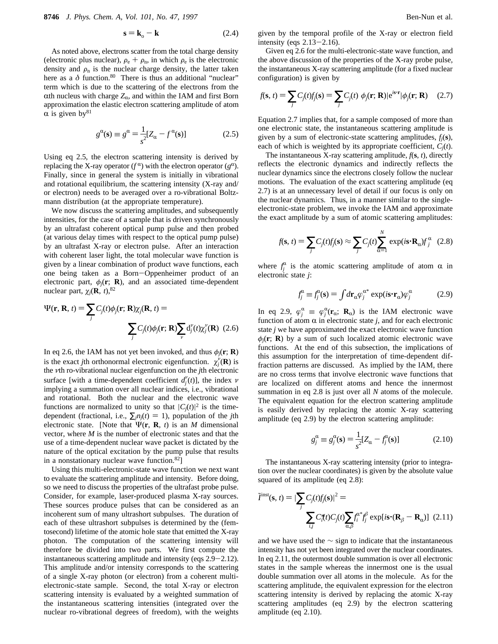**8746** *J. Phys. Chem. A, Vol. 101, No. 47, 1997* Ben-Nun et al.

$$
\mathbf{s} = \mathbf{k}_{\text{o}} - \mathbf{k} \tag{2.4}
$$

As noted above, electrons scatter from the total charge density (electronic plus nuclear),  $\rho_e + \rho_n$ , in which  $\rho_e$  is the electronic density and  $\rho_n$  is the nuclear charge density, the latter taken here as a  $\delta$  function.<sup>80</sup> There is thus an additional "nuclear" term which is due to the scattering of the electrons from the  $\alpha$ th nucleus with charge  $Z_{\alpha}$ , and within the IAM and first Born approximation the elastic electron scattering amplitude of atom  $\alpha$  is given by<sup>81</sup>

$$
g^{\alpha}(\mathbf{s}) \equiv g^{\alpha} = \frac{1}{s^2} [Z_{\alpha} - f^{\alpha}(\mathbf{s})]
$$
 (2.5)

Using eq 2.5, the electron scattering intensity is derived by replacing the X-ray operator ( $f^{\alpha}$ ) with the electron operator ( $g^{\alpha}$ ). Finally, since in general the system is initially in vibrational and rotational equilibrium, the scattering intensity (X-ray and/ or electron) needs to be averaged over a ro-vibrational Boltzmann distribution (at the appropriate temperature).

We now discuss the scattering amplitudes, and subsequently intensities, for the case of a sample that is driven synchronously by an ultrafast coherent optical pump pulse and then probed (at various delay times with respect to the optical pump pulse) by an ultrafast X-ray or electron pulse. After an interaction with coherent laser light, the total molecular wave function is given by a linear combination of product wave functions, each one being taken as a Born-Oppenheimer product of an electronic part,  $\phi_i(\mathbf{r}; \mathbf{R})$ , and an associated time-dependent nuclear part,  $\chi_j(\mathbf{R}, t)$ , 82

$$
\Psi(\mathbf{r}, \mathbf{R}, t) = \sum_{j} C_{j}(t) \phi_{j}(\mathbf{r}; \mathbf{R}) \chi_{j}(\mathbf{R}, t) = \sum_{j} C_{j}(t) \phi_{j}(\mathbf{r}; \mathbf{R}) \sum_{\nu} d_{j}^{\nu}(t) \chi_{j}^{\nu}(\mathbf{R}) \tag{2.6}
$$

In eq 2.6, the IAM has not yet been invoked, and thus  $\phi_i(\mathbf{r}; \mathbf{R})$ is the exact *j*th orthonormal electronic eigenfunction.  $\chi_j^{\nu}(\mathbf{R})$  is the *ν*th ro-vibrational nuclear eigenfunction on the *j*th electronic surface [with a time-dependent coefficient  $d_j^{\nu}(t)$ ], the index  $\nu$ implying a summation over all nuclear indices, i.e., vibrational and rotational. Both the nuclear and the electronic wave functions are normalized to unity so that  $|C_j(t)|^2$  is the timedependent (fractional, i.e.,  $\sum_j n_j(t) = 1$ ), population of the *j*th electronic state. [Note that  $\Psi(\mathbf{r}, \mathbf{R}, t)$  is an *M* dimensional vector, where *M* is the number of electronic states and that the use of a time-dependent nuclear wave packet is dictated by the nature of the optical excitation by the pump pulse that results in a nonstationary nuclear wave function.<sup>82</sup>]

Using this multi-electronic-state wave function we next want to evaluate the scattering amplitude and intensity. Before doing, so we need to discuss the properties of the ultrafast probe pulse. Consider, for example, laser-produced plasma X-ray sources. These sources produce pulses that can be considered as an incoherent sum of many ultrashort subpulses. The duration of each of these ultrashort subpulses is determined by the (femtosecond) lifetime of the atomic hole state that emitted the X-ray photon. The computation of the scattering intensity will therefore be divided into two parts. We first compute the instantaneous scattering amplitude and intensity (eqs 2.9-2.12). This amplitude and/or intensity corresponds to the scattering of a single X-ray photon (or electron) from a coherent multielectronic-state sample. Second, the total X-ray or electron scattering intensity is evaluated by a weighted summation of the instantaneous scattering intensities (integrated over the nuclear ro-vibrational degrees of freedom), with the weights given by the temporal profile of the X-ray or electron field intensity (eqs  $2.13-2.16$ ).

Given eq 2.6 for the multi-electronic-state wave function, and the above discussion of the properties of the X-ray probe pulse, the instantaneous X-ray scattering amplitude (for a fixed nuclear configuration) is given by

$$
f(\mathbf{s}, t) = \sum_{j} C_{j}(t) f_{j}(\mathbf{s}) = \sum_{j} C_{j}(t) \langle \phi_{j}(\mathbf{r}; \mathbf{R}) | e^{i\mathbf{s} \cdot \mathbf{r}} | \phi_{j}(\mathbf{r}; \mathbf{R}) \rangle
$$
 (2.7)

Equation 2.7 implies that, for a sample composed of more than one electronic state, the instantaneous scattering amplitude is given by a sum of electronic-state scattering amplitudes, *fj*(**s**), each of which is weighted by its appropriate coefficient,  $C_i(t)$ .

The instantaneous X-ray scattering amplitude, *f*(**s**, *t*), directly reflects the electronic dynamics and indirectly reflects the nuclear dynamics since the electrons closely follow the nuclear motions. The evaluation of the exact scattering amplitude (eq 2.7) is at an unnecessary level of detail if our focus is only on the nuclear dynamics. Thus, in a manner similar to the singleelectronic-state problem, we invoke the IAM and approximate the exact amplitude by a sum of atomic scattering amplitudes:

$$
f(\mathbf{s}, t) = \sum_{j} C_{j}(t) f_{j}(\mathbf{s}) \approx \sum_{j} C_{j}(t) \sum_{\alpha=1}^{N} \exp(i\mathbf{s} \cdot \mathbf{R}_{\alpha}) f_{j}^{\alpha} \quad (2.8)
$$

where  $f_j^{\alpha}$  is the atomic scattering amplitude of atom  $\alpha$  in electronic state *j*:

$$
f_j^{\alpha} \equiv f_j^{\alpha}(\mathbf{s}) = \int d\mathbf{r}_{\alpha} \varphi_j^{\alpha^*} \exp(i\mathbf{s} \cdot \mathbf{r}_{\alpha}) \varphi_j^{\alpha} \tag{2.9}
$$

In eq 2.9,  $\varphi_j^{\alpha} \equiv \varphi_j^{\alpha}(\mathbf{r}_{\alpha}; \mathbf{R}_{\alpha})$  is the IAM electronic wave function of atom  $\alpha$  in electronic state *j*, and for each electronic state *j* we have approximated the exact electronic wave function  $\phi_i(\mathbf{r}; \mathbf{R})$  by a sum of such localized atomic electronic wave functions. At the end of this subsection, the implications of this assumption for the interpretation of time-dependent diffraction patterns are discussed. As implied by the IAM, there are no cross terms that involve electronic wave functions that are localized on different atoms and hence the innermost summation in eq 2.8 is just over all *N* atoms of the molecule. The equivalent equation for the electron scattering amplitude is easily derived by replacing the atomic X-ray scattering amplitude (eq 2.9) by the electron scattering amplitude:

$$
g_j^{\alpha} \equiv g_j^{\alpha}(\mathbf{s}) = \frac{1}{s^2} [Z_{\alpha} - f_j^{\alpha}(\mathbf{s})]
$$
 (2.10)

The instantaneous X-ray scattering intensity (prior to integration over the nuclear coordinates) is given by the absolute value squared of its amplitude (eq 2.8):

$$
\tilde{I}^{\text{inst}}(\mathbf{s}, t) = |\sum_{j} C_{j}(t) f_{j}(\mathbf{s})|^{2} =
$$

$$
\sum_{i,j} C_{i}^{*}(t) C_{j}(t) \sum_{\alpha, \beta} f_{i}^{\alpha^{*}} f_{j}^{\beta} \exp[i\mathbf{s} \cdot (\mathbf{R}_{\beta} - \mathbf{R}_{\alpha})] \tag{2.11}
$$

and we have used the ∼ sign to indicate that the instantaneous intensity has not yet been integrated over the nuclear coordinates. In eq 2.11, the outermost double summation is over all electronic states in the sample whereas the innermost one is the usual double summation over all atoms in the molecule. As for the scattering amplitude, the equivalent expression for the electron scattering intensity is derived by replacing the atomic X-ray scattering amplitudes (eq 2.9) by the electron scattering amplitude (eq 2.10).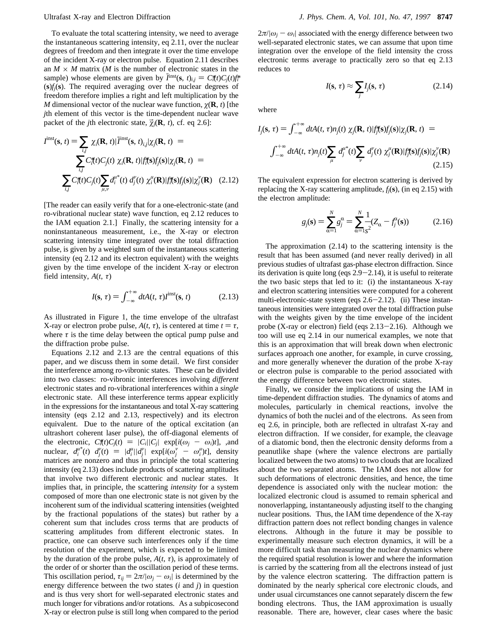To evaluate the total scattering intensity, we need to average the instantaneous scattering intensity, eq 2.11, over the nuclear degrees of freedom and then integrate it over the time envelope of the incident X-ray or electron pulse. Equation 2.11 describes an  $M \times M$  matrix (*M* is the number of electronic states in the sample) whose elements are given by  $\tilde{I}^{\text{inst}}(\mathbf{s}, t)_{i,j} = C^*_{i}(t)C^{}_{j}(t) f^*_{i}$  $(s)$ *f*<sub>i</sub>(s). The required averaging over the nuclear degrees of freedom therefore implies a right and left multiplication by the *M* dimensional vector of the nuclear wave function,  $\chi(\mathbf{R}, t)$  [the *j*th element of this vector is the time-dependent nuclear wave packet of the *j*th electronic state,  $\vec{\chi}_j(\mathbf{R}, t)$ , cf. eq 2.6]:

$$
I^{\text{inst}}(\mathbf{s}, t) = \sum_{i,j} \langle \chi_i(\mathbf{R}, t) | \tilde{I}^{\text{inst}}(\mathbf{s}, t)_{i,j} | \chi_j(\mathbf{R}, t) \rangle =
$$
  

$$
\sum_{i,j} C_i^*(t) C_j(t) \langle \chi_i(\mathbf{R}, t) | f_i^*(s) f_j(s) | \chi_j(\mathbf{R}, t) \rangle =
$$
  

$$
\sum_{i,j} C_i^*(t) C_j(t) \sum_{\mu, \nu} d_i^{\mu^*}(t) d_j^{\nu}(t) \langle \chi_i^{\mu}(\mathbf{R}) | f_i^*(s) f_j(s) | \chi_j^{\nu}(\mathbf{R}) \rangle (2.12)
$$

[The reader can easily verify that for a one-electronic-state (and ro-vibrational nuclear state) wave function, eq 2.12 reduces to the IAM equation 2.1.] Finally, the scattering intensity for a noninstantaneous measurement, i.e., the X-ray or electron scattering intensity time integrated over the total diffraction pulse, is given by a weighted sum of the instantaneous scattering intensity (eq 2.12 and its electron equivalent) with the weights given by the time envelope of the incident X-ray or electron field intensity,  $A(t, \tau)$ 

$$
I(\mathbf{s}, \tau) = \int_{-\infty}^{+\infty} dt A(t, \tau) I^{\text{inst}}(\mathbf{s}, t)
$$
 (2.13)

As illustrated in Figure 1, the time envelope of the ultrafast X-ray or electron probe pulse,  $A(t, \tau)$ , is centered at time  $t = \tau$ , where  $\tau$  is the time delay between the optical pump pulse and the diffraction probe pulse.

Equations 2.12 and 2.13 are the central equations of this paper, and we discuss them in some detail. We first consider the interference among ro-vibronic states. These can be divided into two classes: ro-vibronic interferences involving *different* electronic states and ro-vibrational interferences within a *single* electronic state. All these interference terms appear explicitly in the expressions for the instantaneous and total X-ray scattering intensity (eqs 2.12 and 2.13, respectively) and its electron equivalent. Due to the nature of the optical excitation (an ultrashort coherent laser pulse), the off-diagonal elements of the electronic,  $C_i^*(t)C_j(t) = |C_i||C_j|$  exp[ $i(\omega_j - \omega_i)t$ ], ,and nuclear,  $d_i^{\mu^*}(t) d_j^{\nu}(t) = |d_i^{\mu}| |d_j^{\nu}| \exp[i(\omega_j^{\nu} - \omega_i^{\mu})t]$ , density matrices are nonzero and thus in principle the total scattering intensity (eq 2.13) does include products of scattering amplitudes that involve two different electronic and nuclear states. It implies that, in principle, the scattering *intensity* for a system composed of more than one electronic state is not given by the incoherent sum of the individual scattering intensities (weighted by the fractional populations of the states) but rather by a coherent sum that includes cross terms that are products of scattering amplitudes from different electronic states. In practice, one can observe such interferences only if the time resolution of the experiment, which is expected to be limited by the duration of the probe pulse,  $A(t, \tau)$ , is approximately of the order of or shorter than the oscillation period of these terms. This oscillation period,  $\tau_{ij} = 2\pi/|\omega_j - \omega_i|$  is determined by the energy difference between the two states (*i* and *j*) in question and is thus very short for well-separated electronic states and much longer for vibrations and/or rotations. As a subpicosecond X-ray or electron pulse is still long when compared to the period  $2\pi/\omega_i - \omega_i$  associated with the energy difference between two well-separated electronic states, we can assume that upon time integration over the envelope of the field intensity the cross electronic terms average to practically zero so that eq 2.13 reduces to

$$
I(\mathbf{s}, \tau) \approx \sum_{j} I_j(\mathbf{s}, \tau) \tag{2.14}
$$

where

$$
I_j(\mathbf{s}, \tau) = \int_{-\infty}^{+\infty} dt A(t, \tau) n_j(t) \langle \chi_j(\mathbf{R}, t) | f_j^*(\mathbf{s}) f_j(\mathbf{s}) | \chi_j(\mathbf{R}, t) \rangle =
$$
  

$$
\int_{-\infty}^{+\infty} dt A(t, \tau) n_j(t) \sum_{\mu} d_j^{\mu^*}(t) \sum_{\nu} d_j^{\nu}(t) \langle \chi_j^{\mu}(\mathbf{R}) | f_j^*(\mathbf{s}) f_j(\mathbf{s}) | \chi_j^{\nu}(\mathbf{R}) \rangle
$$
(2.15)

The equivalent expression for electron scattering is derived by replacing the X-ray scattering amplitude,  $f_i(\mathbf{s})$ , (in eq 2.15) with the electron amplitude:

$$
g_j(\mathbf{s}) = \sum_{\alpha=1}^{N} g_j^{\alpha} = \sum_{\alpha=1}^{N} \frac{1}{s^2} (Z_{\alpha} - f_j^{\alpha}(\mathbf{s}))
$$
 (2.16)

The approximation (2.14) to the scattering intensity is the result that has been assumed (and never really derived) in all previous studies of ultrafast gas-phase electron diffraction. Since its derivation is quite long (eqs  $2.9 - 2.14$ ), it is useful to reiterate the two basic steps that led to it: (i) the instantaneous X-ray and electron scattering intensities were computed for a coherent multi-electronic-state system (eqs 2.6-2.12). (ii) These instantaneous intensities were integrated over the total diffraction pulse with the weights given by the time envelope of the incident probe (X-ray or electron) field (eqs 2.13-2.16). Although we too will use eq 2.14 in our numerical examples, we note that this is an approximation that will break down when electronic surfaces approach one another, for example, in curve crossing, and more generally whenever the duration of the probe X-ray or electron pulse is comparable to the period associated with the energy difference between two electronic states.

Finally, we consider the implications of using the IAM in time-dependent diffraction studies. The dynamics of atoms and molecules, particularly in chemical reactions, involve the dynamics of both the nuclei and of the electrons. As seen from eq 2.6, in principle, both are reflected in ultrafast X-ray and electron diffraction. If we consider, for example, the cleavage of a diatomic bond, then the electronic density deforms from a peanutlike shape (where the valence electrons are partially localized between the two atoms) to two clouds that are localized about the two separated atoms. The IAM does not allow for such deformations of electronic densities, and hence, the time dependence is associated only with the nuclear motion: the localized electronic cloud is assumed to remain spherical and nonoverlapping, instantaneously adjusting itself to the changing nuclear positions. Thus, the IAM time dependence of the X-ray diffraction pattern does not reflect bonding changes in valence electrons. Although in the future it may be possible to experimentally measure such electron dynamics, it will be a more difficult task than measuring the nuclear dynamics where the required spatial resolution is lower and where the information is carried by the scattering from all the electrons instead of just by the valence electron scattering. The diffraction pattern is dominated by the nearly spherical core electronic clouds, and under usual circumstances one cannot separately discern the few bonding electrons. Thus, the IAM approximation is usually reasonable. There are, however, clear cases where the basic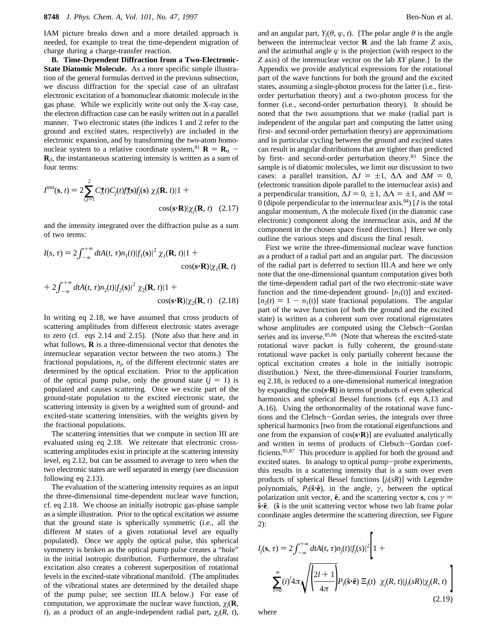IAM picture breaks down and a more detailed approach is needed, for example to treat the time-dependent migration of charge during a charge-transfer reaction.

**B. Time-Dependent Diffraction from a Two-Electronic-State Diatomic Molecule.** As a more specific simple illustration of the general formulas derived in the previous subsection, we discuss diffraction for the special case of an ultrafast electronic excitation of a homonuclear diatomic molecule in the gas phase. While we explicitly write out only the X-ray case, the electron diffraction case can be easily written out in a parallel manner. Two electronic states (the indices 1 and 2 refer to the ground and excited states, respectively) are included in the electronic expansion, and by transforming the two-atom homonuclear system to a relative coordinate system,<sup>81</sup> **R** =  $\mathbf{R}_{\alpha}$  – **R***â*, the instantaneous scattering intensity is written as a sum of four terms:

$$
Iinst(\mathbf{s}, t) = 2 \sum_{i,j=1}^{2} C_{i\cdot}^{*}(t) C_{j\cdot}(t) f_{i\cdot}^{*}(\mathbf{s}) f_{j\cdot}(\mathbf{s}) \langle \chi_{i}(\mathbf{R}, t) | 1 + \cos(\mathbf{s} \cdot \mathbf{R}) | \chi_{j}(\mathbf{R}, t) \rangle \tag{2.17}
$$

and the intensity integrated over the diffraction pulse as a sum of two terms:

$$
I(s,\tau) = 2\int_{-\infty}^{+\infty} dt A(t,\tau) n_1(t) |f_1(\mathbf{s})|^2 \langle \chi_1(\mathbf{R},t)|1 + \cos(\mathbf{s} \cdot \mathbf{R}) | \chi_1(\mathbf{R},t) \rangle
$$

$$
+ 2 \int_{-\infty}^{+\infty} dt A(t, \tau) n_2(t) |f_2(\mathbf{s})|^2 \langle \chi_2(\mathbf{R}, t) | 1 + \cos(\mathbf{s} \cdot \mathbf{R}) | \chi_2(\mathbf{R}, t) \rangle \tag{2.18}
$$

In writing eq 2.18, we have assumed that cross products of scattering amplitudes from different electronic states average to zero (cf. eqs 2.14 and 2.15). (Note also that here and in what follows,  $\overline{\mathbf{R}}$  is a three-dimensional vector that denotes the internuclear separation vector between the two atoms.) The fractional populations,  $n_i$ , of the different electronic states are determined by the optical excitation. Prior to the application of the optical pump pulse, only the ground state  $(j = 1)$  is populated and causes scattering. Once we excite part of the ground-state population to the excited electronic state, the scattering intensity is given by a weighted sum of ground- and excited-state scattering intensities, with the weights given by the fractional populations.

The scattering intensities that we compute in section III are evaluated using eq 2.18. We reiterate that electronic crossscattering amplitudes exist in principle at the scattering intensity level, eq 2.12, but can be assumed to average to zero when the two electronic states are well separated in energy (see discussion following eq 2.13).

The evaluation of the scattering intensity requires as an input the three-dimensional time-dependent nuclear wave function, cf. eq 2.18. We choose an initially isotropic gas-phase sample as a simple illustration. Prior to the optical excitation we assume that the ground state is spherically symmetric (i.e., all the different *M* states of a given rotational level are equally populated). Once we apply the optical pulse, this spherical symmetry is broken as the optical pump pulse creates a "hole" in the initial isotropic distribution. Furthermore, the ultrafast excitation also creates a coherent superposition of rotational levels in the excited-state vibrational manifold. (The amplitudes of the vibrational states are determined by the detailed shape of the pump pulse; see section III.A below.) For ease of computation, we approximate the nuclear wave function,  $\gamma_i(\mathbf{R})$ , *t*), as a product of an angle-independent radial part,  $\chi_i(R, t)$ ,

and an angular part,  $Y_i(\theta, \varphi, t)$ . [The polar angle  $\theta$  is the angle between the internuclear vector **R** and the lab frame *Z* axis, and the azimuthal angle  $\varphi$  is the projection (with respect to the *Z* axis) of the internuclear vector on the lab *XY* plane.] In the Appendix we provide analytical expressions for the rotational part of the wave functions for both the ground and the excited states, assuming a single-photon process for the latter (i.e., firstorder perturbation theory) and a two-photon process for the former (i.e., second-order perturbation theory). It should be noted that the two assumptions that we make (radial part is independent of the angular part and computing the latter using first- and second-order perturbation theory) are approximations and in particular cycling between the ground and excited states can result in angular distributions that are tighter than predicted by first- and second-order perturbation theory.83 Since the sample is of diatomic molecules, we limit our discussion to two cases: a parallel transition,  $\Delta J = \pm 1$ ,  $\Delta \Lambda$  and  $\Delta M = 0$ , (electronic transition dipole parallel to the internuclear axis) and a perpendicular transition,  $\Delta J = 0, \pm 1, \Delta \Lambda = \pm 1$ , and  $\Delta M =$ 0 (dipole perpendicular to the internuclear axis.<sup>84</sup>) [*J* is the total angular momentum,  $\Lambda$  the molecule fixed (in the diatomic case electronic) component along the internuclear axis, and *M* the component in the chosen space fixed direction.] Here we only outline the various steps and discuss the final result.

First we write the three-dimensional nuclear wave function as a product of a radial part and an angular part. The discussion of the radial part is deferred to section III.A and here we only note that the one-dimensional quantum computation gives both the time-dependent radial part of the two electronic-state wave function and the time-dependent ground-  $[n_1(t)]$  and excited- $[n_2(t) = 1 - n_1(t)]$  state fractional populations. The angular part of the wave function (of both the ground and the excited state) is written as a coherent sum over rotational eigenstates whose amplitudes are computed using the Clebsch-Gordan series and its inverse. $85,86$  (Note that whereas the excited-state rotational wave packet is fully coherent, the ground-state rotational wave packet is only partially coherent because the optical excitation creates a hole in the initially isotropic distribution.) Next, the three-dimensional Fourier transform, eq 2.18, is reduced to a one-dimensional numerical integration by expanding the cos(**s**'**R**) in terms of products of even spherical harmonics and spherical Bessel functions (cf. eqs A.13 and A.16). Using the orthonormality of the rotational wave functions and the Clebsch-Gordan series, the integrals over three spherical harmonics [two from the rotational eigenfunctions and one from the expansion of cos(**s**'**R**)] are evaluated analytically and written in terms of products of Clebsch-Gordan coefficients.85,87 This procedure is applied for both the ground and excited states. In analogy to optical pump-probe experiments, this results in a scattering intensity that is a sum over even products of spherical Bessel functions [*jl*(*sR*)] with Legendre polynomials,  $P_l$ ( $\hat{\mathbf{s}} \cdot \hat{\mathbf{e}}$ ), in the angle,  $\gamma$ , between the optical polarization unit vector,  $\hat{\mathbf{e}}$ , and the scattering vector **s**, cos  $\gamma$  = **s**<sup> $\cdot \hat{\mathbf{e}}$ . (**s** is the unit scattering vector whose two lab frame polar</sup> coordinate angles determine the scattering direction, see Figure 2):

$$
I_j(\mathbf{s}, \tau) = 2 \int_{-\infty}^{+\infty} dt A(t, \tau) n_j(t) |f_j(s)|^2 \left[ 1 + \sum_{l=0}^{\infty} (i)^l 4\pi \sqrt{\left( \frac{2l+1}{4\pi} \right) P_l(\hat{\mathbf{s}} \cdot \hat{\mathbf{e}}) \ \Xi_l(t) \ \langle \chi_j(R, t) | j_l(sR) | \chi_j(R, t) \rangle} \right] \tag{2.19}
$$

where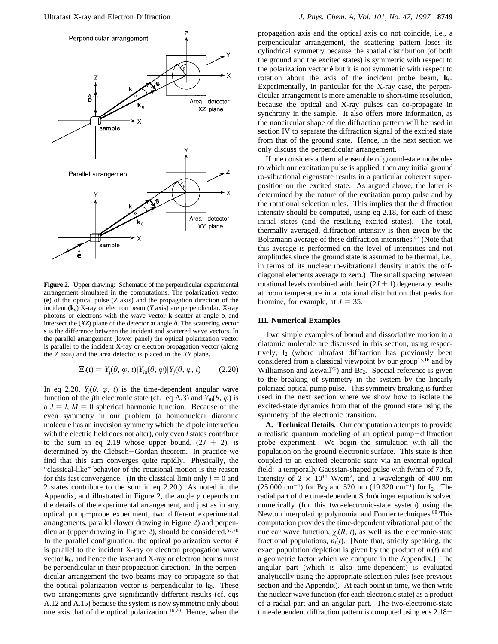

**Figure 2.** Upper drawing: Schematic of the perpendicular experimental arrangement simulated in the computations. The polarization vector (**e**ˆ) of the optical pulse (*Z* axis) and the propagation direction of the incident (**k**o) X-ray or electron beam (*Y* axis) are perpendicular. X-ray photons or electrons with the wave vector **k** scatter at angle  $\alpha$  and intersect the  $(XZ)$  plane of the detector at angle  $\delta$ . The scattering vector **s** is the difference between the incident and scattered wave vectors. In the parallel arrangement (lower panel) the optical polarization vector is parallel to the incident X-ray or electron propagation vector (along the *Z* axis) and the area detector is placed in the *XY* plane.

$$
\Xi_i(t) = \langle Y_j(\theta, \varphi, t) | Y_{i0}(\theta, \varphi) | Y_j(\theta, \varphi, t) \rangle \tag{2.20}
$$

In eq 2.20,  $Y_j(\theta, \varphi, t)$  is the time-dependent angular wave function of the *j*th electronic state (cf. eq A.3) and  $Y_{l0}(\theta, \varphi)$  is a  $J = l$ ,  $M = 0$  spherical harmonic function. Because of the even symmetry in our problem (a homonuclear diatomic molecule has an inversion symmetry which the dipole interaction with the electric field does not alter), only even *l* states contribute to the sum in eq 2.19 whose upper bound,  $(2J + 2)$ , is determined by the Clebsch-Gordan theorem. In practice we find that this sum converges quite rapidly. Physically, the "classical-like" behavior of the rotational motion is the reason for this fast convergence. (In the classical limit only  $l = 0$  and 2 states contribute to the sum in eq 2.20.) As noted in the Appendix, and illustrated in Figure 2, the angle *γ* depends on the details of the experimental arrangement, and just as in any optical pump-probe experiment, two different experimental arrangements, parallel (lower drawing in Figure 2) and perpendicular (upper drawing in Figure 2), should be considered.<sup>57,70</sup> In the parallel configuration, the optical polarization vector  $\hat{\mathbf{e}}$ is parallel to the incident X-ray or electron propagation wave vector  $\mathbf{k}_0$ , and hence the laser and X-ray or electron beams must be perpendicular in their propagation direction. In the perpendicular arrangement the two beams may co-propagate so that the optical polarization vector is perpendicular to  $\mathbf{k}_0$ . These two arrangements give significantly different results (cf. eqs A.12 and A.15) because the system is now symmetric only about one axis that of the optical polarization.<sup>16,70</sup> Hence, when the

propagation axis and the optical axis do not coincide, i.e., a perpendicular arrangement, the scattering pattern loses its cylindrical symmetry because the spatial distribution (of both the ground and the excited states) is symmetric with respect to the polarization vector  $\hat{\mathbf{e}}$  but it is not symmetric with respect to rotation about the axis of the incident probe beam, **k**0. Experimentally, in particular for the X-ray case, the perpendicular arrangement is more amenable to short-time resolution, because the optical and X-ray pulses can co-propagate in synchrony in the sample. It also offers more information, as the noncircular shape of the diffraction pattern will be used in section IV to separate the diffraction signal of the excited state from that of the ground state. Hence, in the next section we only discuss the perpendicular arrangement.

If one considers a thermal ensemble of ground-state molecules to which our excitation pulse is applied, then any initial ground ro-vibrational eigenstate results in a particular coherent superposition on the excited state. As argued above, the latter is determined by the nature of the excitation pump pulse and by the rotational selection rules. This implies that the diffraction intensity should be computed, using eq 2.18, for each of these initial states (and the resulting excited states). The total, thermally averaged, diffraction intensity is then given by the Boltzmann average of these diffraction intensities.47 (Note that this average is performed on the level of intensities and not amplitudes since the ground state is assumed to be thermal, i.e., in terms of its nuclear ro-vibrational density matrix the offdiagonal elements average to zero.) The small spacing between rotational levels combined with their  $(2J + 1)$  degeneracy results at room temperature in a rotational distribution that peaks for bromine, for example, at  $J = 35$ .

#### **III. Numerical Examples**

Two simple examples of bound and dissociative motion in a diatomic molecule are discussed in this section, using respectively, I<sub>2</sub> (where ultrafast diffraction has previously been considered from a classical viewpoint by our group<sup>15,16</sup> and by Williamson and Zewail<sup>70</sup>) and Br<sub>2</sub>. Special reference is given to the breaking of symmetry in the system by the linearly polarized optical pump pulse. This symmetry breaking is further used in the next section where we show how to isolate the excited-state dynamics from that of the ground state using the symmetry of the electronic transition.

**A. Technical Details.** Our computation attempts to provide a realistic quantum modeling of an optical pump-diffraction probe experiment. We begin the simulation with all the population on the ground electronic surface. This state is then coupled to an excited electronic state via an external optical field: a temporally Gaussian-shaped pulse with fwhm of 70 fs, intensity of  $2 \times 10^{11}$  W/cm<sup>2</sup>, and a wavelength of 400 nm  $(25 000 \text{ cm}^{-1})$  for Br<sub>2</sub> and 520 nm  $(19 320 \text{ cm}^{-1})$  for I<sub>2</sub>. The radial part of the time-dependent Schrödinger equation is solved numerically (for this two-electronic-state system) using the Newton interpolating polynomial and Fourier techniques.<sup>88</sup> This computation provides the time-dependent vibrational part of the nuclear wave function,  $\chi_i(R, t)$ , as well as the electronic-state fractional populations,  $n_j(t)$ . [Note that, strictly speaking, the exact population depletion is given by the product of  $n_i(t)$  and a geometric factor which we compute in the Appendix.] The angular part (which is also time-dependent) is evaluated analytically using the appropriate selection rules (see previous section and the Appendix). At each point in time, we then write the nuclear wave function (for each electronic state) as a product of a radial part and an angular part. The two-electronic-state time-dependent diffraction pattern is computed using eqs 2.18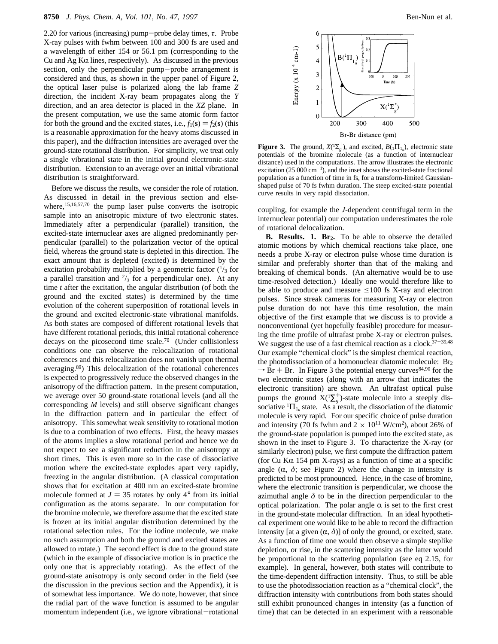2.20 for various (increasing) pump-probe delay times, *τ*. Probe X-ray pulses with fwhm between 100 and 300 fs are used and a wavelength of either 154 or 56.1 pm (corresponding to the Cu and Ag  $K\alpha$  lines, respectively). As discussed in the previous section, only the perpendicular pump-probe arrangement is considered and thus, as shown in the upper panel of Figure 2, the optical laser pulse is polarized along the lab frame *Z* direction, the incident X-ray beam propagates along the *Y* direction, and an area detector is placed in the *XZ* plane. In the present computation, we use the same atomic form factor for both the ground and the excited states, i.e.,  $f_1(\mathbf{s}) = f_2(\mathbf{s})$  (this is a reasonable approximation for the heavy atoms discussed in this paper), and the diffraction intensities are averaged over the ground-state rotational distribution. For simplicity, we treat only a single vibrational state in the initial ground electronic-state distribution. Extension to an average over an initial vibrational distribution is straightforward.

Before we discuss the results, we consider the role of rotation. As discussed in detail in the previous section and elsewhere,<sup>15,16,57,70</sup> the pump laser pulse converts the isotropic sample into an anisotropic mixture of two electronic states. Immediately after a perpendicular (parallel) transition, the excited-state internuclear axes are aligned predominantly perpendicular (parallel) to the polarization vector of the optical field, whereas the ground state is depleted in this direction. The exact amount that is depleted (excited) is determined by the excitation probability multiplied by a geometric factor  $\binom{1}{3}$  for a parallel transition and  $\frac{2}{3}$  for a perpendicular one). At any time *t* after the excitation, the angular distribution (of both the ground and the excited states) is determined by the time evolution of the coherent superposition of rotational levels in the ground and excited electronic-state vibrational manifolds. As both states are composed of different rotational levels that have different rotational periods, this initial rotational coherence decays on the picosecond time scale.70 (Under collisionless conditions one can observe the relocalization of rotational coherences and this relocalization does not vanish upon thermal averaging.89) This delocalization of the rotational coherences is expected to progressively reduce the observed changes in the anisotropy of the diffraction pattern. In the present computation, we average over 50 ground-state rotational levels (and all the corresponding *M* levels) and still observe significant changes in the diffraction pattern and in particular the effect of anisotropy. This somewhat weak sensitivity to rotational motion is due to a combination of two effects. First, the heavy masses of the atoms implies a slow rotational period and hence we do not expect to see a significant reduction in the anisotropy at short times. This is even more so in the case of dissociative motion where the excited-state explodes apart very rapidly, freezing in the angular distribution. (A classical computation shows that for excitation at 400 nm an excited-state bromine molecule formed at  $J = 35$  rotates by only 4° from its initial configuration as the atoms separate. In our computation for the bromine molecule, we therefore assume that the excited state is frozen at its initial angular distribution determined by the rotational selection rules. For the iodine molecule, we make no such assumption and both the ground and excited states are allowed to rotate.) The second effect is due to the ground state (which in the example of dissociative motion is in practice the only one that is appreciably rotating). As the effect of the ground-state anisotropy is only second order in the field (see the discussion in the previous section and the Appendix), it is of somewhat less importance. We do note, however, that since the radial part of the wave function is assumed to be angular momentum independent (i.e., we ignore vibrational-rotational



**Figure 3.** The ground,  $X(\frac{1}{2}^k)$ , and excited,  $B(\frac{1}{1} \Pi_{1u})$ , electronic state potentials of the bromine molecule (as a function of internuclear distance) used in the computations. The arrow illustrates the electronic excitation (25 000  $\text{cm}^{-1}$ ), and the inset shows the excited-state fractional population as a function of time in fs, for a transform-limited Gaussianshaped pulse of 70 fs fwhm duration. The steep excited-state potential curve results in very rapid dissociation.

coupling, for example the *J*-dependent centrifugal term in the internuclear potential) our computation underestimates the role of rotational delocalization.

**B.** Results. 1. Br<sub>2</sub>. To be able to observe the detailed atomic motions by which chemical reactions take place, one needs a probe X-ray or electron pulse whose time duration is similar and preferably shorter than that of the making and breaking of chemical bonds. (An alternative would be to use time-resolved detection.) Ideally one would therefore like to be able to produce and measure  $\leq 100$  fs X-ray and electron pulses. Since streak cameras for measuring X-ray or electron pulse duration do not have this time resolution, the main objective of the first example that we discuss is to provide a nonconventional (yet hopefully feasible) procedure for measuring the time profile of ultrafast probe X-ray or electron pulses. We suggest the use of a fast chemical reaction as a clock. $37-39,48$ Our example "chemical clock" is the simplest chemical reaction, the photodissociation of a homonuclear diatomic molecule: Br<sub>2</sub>  $\rightarrow$  Br + Br. In Figure 3 the potential energy curves<sup>84,90</sup> for the two electronic states (along with an arrow that indicates the electronic transition) are shown. An ultrafast optical pulse pumps the ground  $X(\frac{1}{2}^*)$ -state molecule into a steeply dissociative  ${}^{1}\Pi_{1}$  state. As a result, the dissociation of the diatomic molecule is very rapid. For our specific choice of pulse duration and intensity (70 fs fwhm and  $2 \times 10^{11}$  W/cm<sup>2</sup>), about 26% of the ground-state population is pumped into the excited state, as shown in the inset to Figure 3. To characterize the X-ray (or similarly electron) pulse, we first compute the diffraction pattern (for Cu K $\alpha$  154 pm X-rays) as a function of time at a specific angle  $(\alpha, \delta)$ ; see Figure 2) where the change in intensity is predicted to be most pronounced. Hence, in the case of bromine, where the electronic transition is perpendicular, we choose the azimuthal angle  $\delta$  to be in the direction perpendicular to the optical polarization. The polar angle  $\alpha$  is set to the first crest in the ground-state molecular diffraction. In an ideal hypothetical experiment one would like to be able to record the diffraction intensity [at a given  $(\alpha, \delta)$ ] of only the ground, or excited, state. As a function of time one would then observe a simple steplike depletion, or rise, in the scattering intensity as the latter would be proportional to the scattering population (see eq 2.15, for example). In general, however, both states will contribute to the time-dependent diffraction intensity. Thus, to still be able to use the photodissociation reaction as a "chemical clock", the diffraction intensity with contributions from both states should still exhibit pronounced changes in intensity (as a function of time) that can be detected in an experiment with a reasonable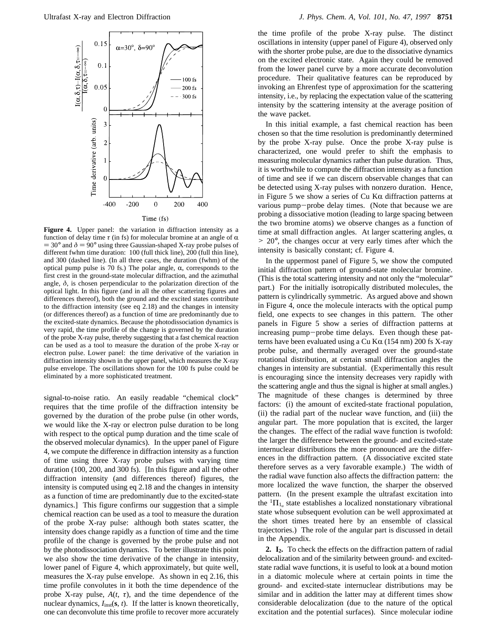

Figure 4. Upper panel: the variation in diffraction intensity as a function of delay time  $τ$  (in fs) for molecular bromine at an angle of  $α$  $= 30^{\circ}$  and  $\delta = 90^{\circ}$  using three Gaussian-shaped X-ray probe pulses of different fwhm time duration: 100 (full thick line), 200 (full thin line), and 300 (dashed line). (In all three cases, the duration (fwhm) of the optical pump pulse is 70 fs.) The polar angle,  $\alpha$ , corresponds to the first crest in the ground-state molecular diffraction, and the azimuthal angle,  $\delta$ , is chosen perpendicular to the polarization direction of the optical light. In this figure (and in all the other scattering figures and differences thereof), both the ground and the excited states contribute to the diffraction intensity (see eq 2.18) and the changes in intensity (or differences thereof) as a function of time are predominantly due to the excited-state dynamics. Because the photodissociation dynamics is very rapid, the time profile of the change is governed by the duration of the probe X-ray pulse, thereby suggesting that a fast chemical reaction can be used as a tool to measure the duration of the probe X-ray or electron pulse. Lower panel: the time derivative of the variation in diffraction intensity shown in the upper panel, which measures the X-ray pulse envelope. The oscillations shown for the 100 fs pulse could be eliminated by a more sophisticated treatment.

signal-to-noise ratio. An easily readable "chemical clock" requires that the time profile of the diffraction intensity be governed by the duration of the probe pulse (in other words, we would like the X-ray or electron pulse duration to be long with respect to the optical pump duration and the time scale of the observed molecular dynamics). In the upper panel of Figure 4, we compute the difference in diffraction intensity as a function of time using three X-ray probe pulses with varying time duration (100, 200, and 300 fs). [In this figure and all the other diffraction intensity (and differences thereof) figures, the intensity is computed using eq 2.18 and the changes in intensity as a function of time are predominantly due to the excited-state dynamics.] This figure confirms our suggestion that a simple chemical reaction can be used as a tool to measure the duration of the probe X-ray pulse: although both states scatter, the intensity does change rapidly as a function of time and the time profile of the change is governed by the probe pulse and not by the photodissociation dynamics. To better illustrate this point we also show the time derivative of the change in intensity, lower panel of Figure 4, which approximately, but quite well, measures the X-ray pulse envelope. As shown in eq 2.16, this time profile convolutes in it both the time dependence of the probe X-ray pulse,  $A(t, \tau)$ , and the time dependence of the nuclear dynamics,  $I_{inst}(s, t)$ . If the latter is known theoretically, one can deconvolute this time profile to recover more accurately the time profile of the probe X-ray pulse. The distinct oscillations in intensity (upper panel of Figure 4), observed only with the shorter probe pulse, are due to the dissociative dynamics on the excited electronic state. Again they could be removed from the lower panel curve by a more accurate deconvolution procedure. Their qualitative features can be reproduced by invoking an Ehrenfest type of approximation for the scattering intensity, i.e., by replacing the expectation value of the scattering intensity by the scattering intensity at the average position of the wave packet.

In this initial example, a fast chemical reaction has been chosen so that the time resolution is predominantly determined by the probe X-ray pulse. Once the probe X-ray pulse is characterized, one would prefer to shift the emphasis to measuring molecular dynamics rather than pulse duration. Thus, it is worthwhile to compute the diffraction intensity as a function of time and see if we can discern observable changes that can be detected using X-ray pulses with nonzero duration. Hence, in Figure 5 we show a series of Cu  $K\alpha$  diffraction patterns at various pump-probe delay times. (Note that because we are probing a dissociative motion (leading to large spacing between the two bromine atoms) we observe changes as a function of time at small diffraction angles. At larger scattering angles,  $\alpha$ > 20°, the changes occur at very early times after which the intensity is basically constant; cf. Figure 4.

In the uppermost panel of Figure 5, we show the computed initial diffraction pattern of ground-state molecular bromine. (This is the total scattering intensity and not only the "molecular" part.) For the initially isotropically distributed molecules, the pattern is cylindrically symmetric. As argued above and shown in Figure 4, once the molecule interacts with the optical pump field, one expects to see changes in this pattern. The other panels in Figure 5 show a series of diffraction patterns at increasing pump-probe time delays. Even though these patterns have been evaluated using a Cu K $\alpha$  (154 nm) 200 fs X-ray probe pulse, and thermally averaged over the ground-state rotational distribution, at certain small diffraction angles the changes in intensity are substantial. (Experimentally this result is encouraging since the intensity decreases very rapidly with the scattering angle and thus the signal is higher at small angles.) The magnitude of these changes is determined by three factors: (i) the amount of excited-state fractional population, (ii) the radial part of the nuclear wave function, and (iii) the angular part. The more population that is excited, the larger the changes. The effect of the radial wave function is twofold: the larger the difference between the ground- and excited-state internuclear distributions the more pronounced are the differences in the diffraction pattern. (A dissociative excited state therefore serves as a very favorable example.) The width of the radial wave function also affects the diffraction pattern: the more localized the wave function, the sharper the observed pattern. (In the present example the ultrafast excitation into the  ${}^{1}\Pi_{1}$  state establishes a localized nonstationary vibrational state whose subsequent evolution can be well approximated at the short times treated here by an ensemble of classical trajectories.) The role of the angular part is discussed in detail in the Appendix.

**2. I2.** To check the effects on the diffraction pattern of radial delocalization and of the similarity between ground- and excitedstate radial wave functions, it is useful to look at a bound motion in a diatomic molecule where at certain points in time the ground- and excited-state internuclear distributions may be similar and in addition the latter may at different times show considerable delocalization (due to the nature of the optical excitation and the potential surfaces). Since molecular iodine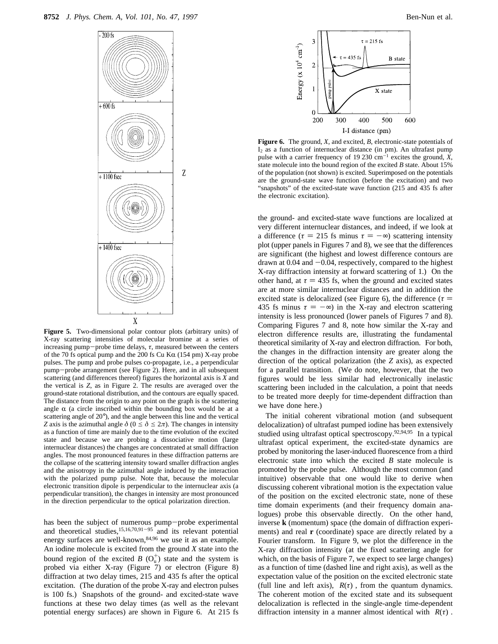

**Figure 5.** Two-dimensional polar contour plots (arbitrary units) of X-ray scattering intensities of molecular bromine at a series of increasing pump-probe time delays,  $\tau$ , measured between the centers of the 70 fs optical pump and the 200 fs Cu K $\alpha$  (154 pm) X-ray probe pulses. The pump and probe pulses co-propagate, i.e., a perpendicular pump-probe arrangement (see Figure 2). Here, and in all subsequent scattering (and differences thereof) figures the horizontal axis is *X* and the vertical is *Z*, as in Figure 2. The results are averaged over the ground-state rotational distribution, and the contours are equally spaced. The distance from the origin to any point on the graph is the scattering angle  $\alpha$  (a circle inscribed within the bounding box would be at a scattering angle of 20°), and the angle between this line and the vertical *Z* axis is the azimuthal angle  $\delta$  ( $0 \le \delta \le 2\pi$ ). The changes in intensity as a function of time are mainly due to the time evolution of the excited state and because we are probing a dissociative motion (large internuclear distances) the changes are concentrated at small diffraction angles. The most pronounced features in these diffraction patterns are the collapse of the scattering intensity toward smaller diffraction angles and the anisotropy in the azimuthal angle induced by the interaction with the polarized pump pulse. Note that, because the molecular electronic transition dipole is perpendicular to the internuclear axis (a perpendicular transition), the changes in intensity are most pronounced in the direction perpendicular to the optical polarization direction.

has been the subject of numerous pump-probe experimental and theoretical studies,<sup>15,16,70,91-95</sup> and its relevant potential energy surfaces are well-known,<sup>84,96</sup> we use it as an example. An iodine molecule is excited from the ground *X* state into the bound region of the excited *B*  $(O_u^+)$  state and the system is probed via either X-ray (Figure 7) or electron (Figure 8) diffraction at two delay times, 215 and 435 fs after the optical excitation. (The duration of the probe X-ray and electron pulses is 100 fs.) Snapshots of the ground- and excited-state wave functions at these two delay times (as well as the relevant potential energy surfaces) are shown in Figure 6. At 215 fs



**Figure 6.** The ground, *X*, and excited, *B*, electronic-state potentials of  $I_2$  as a function of internuclear distance (in pm). An ultrafast pump pulse with a carrier frequency of 19 230  $cm^{-1}$  excites the ground,  $\overline{X}$ , state molecule into the bound region of the excited *B* state. About 15% of the population (not shown) is excited. Superimposed on the potentials are the ground-state wave function (before the excitation) and two "snapshots" of the excited-state wave function (215 and 435 fs after the electronic excitation).

the ground- and excited-state wave functions are localized at very different internuclear distances, and indeed, if we look at a difference ( $\tau = 215$  fs minus  $\tau = -\infty$ ) scattering intensity plot (upper panels in Figures 7 and 8), we see that the differences are significant (the highest and lowest difference contours are drawn at  $0.04$  and  $-0.04$ , respectively, compared to the highest X-ray diffraction intensity at forward scattering of 1.) On the other hand, at  $\tau = 435$  fs, when the ground and excited states are at more similar internuclear distances and in addition the excited state is delocalized (see Figure 6), the difference ( $\tau$  = 435 fs minus  $\tau = -\infty$ ) in the X-ray and electron scattering intensity is less pronounced (lower panels of Figures 7 and 8). Comparing Figures 7 and 8, note how similar the X-ray and electron difference results are, illustrating the fundamental theoretical similarity of X-ray and electron diffraction. For both, the changes in the diffraction intensity are greater along the direction of the optical polarization (the *Z* axis), as expected for a parallel transition. (We do note, however, that the two figures would be less similar had electronically inelastic scattering been included in the calculation, a point that needs to be treated more deeply for time-dependent diffraction than we have done here.)

The initial coherent vibrational motion (and subsequent delocalization) of ultrafast pumped iodine has been extensively studied using ultrafast optical spectroscopy.92,94,95 In a typical ultrafast optical experiment, the excited-state dynamics are probed by monitoring the laser-induced fluorescence from a third electronic state into which the excited *B* state molecule is promoted by the probe pulse. Although the most common (and intuitive) observable that one would like to derive when discussing coherent vibrational motion is the expectation value of the position on the excited electronic state, none of these time domain experiments (and their frequency domain analogues) probe this observable directly. On the other hand, inverse **k** (momentum) space (the domain of diffraction experiments) and real **r** (coordinate) space are directly related by a Fourier transform. In Figure 9, we plot the difference in the X-ray diffraction intensity (at the fixed scattering angle for which, on the basis of Figure 7, we expect to see large changes) as a function of time (dashed line and right axis), as well as the expectation value of the position on the excited electronic state (full line and left axis),  $\langle R(\tau) \rangle$ , from the quantum dynamics. The coherent motion of the excited state and its subsequent delocalization is reflected in the single-angle time-dependent diffraction intensity in a manner almost identical with  $\langle R(\tau) \rangle$ .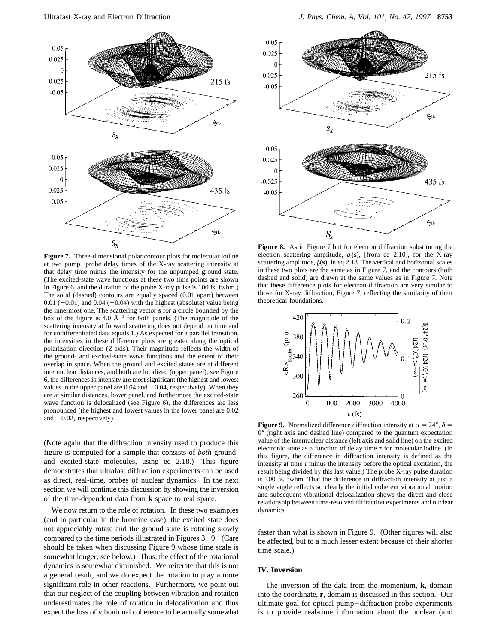

**Figure 7.** Three-dimensional polar contour plots for molecular iodine at two pump-probe delay times of the X-ray scattering intensity at that delay time minus the intensity for the unpumped ground state. (The excited-state wave functions at these two time points are shown in Figure 6, and the duration of the probe X-ray pulse is 100 fs, fwhm.) The solid (dashed) contours are equally spaced (0.01 apart) between  $0.01$  ( $-0.01$ ) and  $0.04$  ( $-0.04$ ) with the highest (absolute) value being the innermost one. The scattering vector **s** for a circle bounded by the box of the figure is 4.0  $\AA^{-1}$  for both panels. (The magnitude of the scattering intensity at forward scattering does not depend on time and for undifferentiated data equals 1.) As expected for a parallel transition, the intensities in these difference plots are greater along the optical polarization direction (*Z* axis). Their magnitude reflects the width of the ground- and excited-state wave functions and the extent of their overlap in space. When the ground and excited states are at different internuclear distances, and both are localized (upper panel), see Figure 6, the differences in intensity are most significant (the highest and lowest values in the upper panel are  $0.04$  and  $-0.04$ , respectively). When they are at similar distances, lower panel, and furthermore the excited-state wave function is delocalized (see Figure 6), the differences are less pronounced (the highest and lowest values in the lower panel are 0.02 and  $-0.02$ , respectively).

(Note again that the diffraction intensity used to produce this figure is computed for a sample that consists of *both* groundand excited-state molecules, using eq 2.18.) This figure demonstrates that ultrafast diffraction experiments can be used as direct, real-time, probes of nuclear dynamics. In the next section we will continue this discussion by showing the inversion of the time-dependent data from **k** space to real space.

We now return to the role of rotation. In these two examples (and in particular in the bromine case), the excited state does not appreciably rotate and the ground state is rotating slowly compared to the time periods illustrated in Figures  $3-9$ . (Care should be taken when discussing Figure 9 whose time scale is somewhat longer; see below.) Thus, the effect of the rotational dynamics is somewhat diminished. We reiterate that this is not a general result, and we do expect the rotation to play a more significant role in other reactions. Furthermore, we point out that our neglect of the coupling between vibration and rotation underestimates the role of rotation in delocalization and thus expect the loss of vibrational coherence to be actually somewhat



**Figure 8.** As in Figure 7 but for electron diffraction substituting the electron scattering amplitude,  $g_j(s)$ , [from eq 2.10], for the X-ray scattering amplitude,  $f_j$ (s), in eq 2.18. The vertical and horizontal scales in these two plots are the same as in Figure 7, and the contours (both dashed and solid) are drawn at the same values as in Figure 7. Note that these difference plots for electron diffraction are very similar to those for X-ray diffraction, Figure 7, reflecting the similarity of their theoretical foundations.



**Figure 9.** Normalized difference diffraction intensity at  $\alpha = 24^{\circ}$ ,  $\delta =$ 0° (right axis and dashed line) compared to the quantum expectation value of the internuclear distance (left axis and solid line) on the excited electronic state as a function of delay time *τ* for molecular iodine. (In this figure, the difference in diffraction intensity is defined as the intensity at time  $\tau$  minus the intensity before the optical excitation, the result being divided by this last value.) The probe X-ray pulse duration is 100 fs, fwhm. That the difference in diffraction intensity at just a single angle reflects so clearly the initial coherent vibrational motion and subsequent vibrational delocalization shows the direct and close relationship between time-resolved diffraction experiments and nuclear dynamics.

faster than what is shown in Figure 9. (Other figures will also be affected, but to a much lesser extent because of their shorter time scale.)

#### **IV. Inversion**

The inversion of the data from the momentum, **k**, domain into the coordinate, **r**, domain is discussed in this section. Our ultimate goal for optical pump-diffraction probe experiments is to provide real-time information about the nuclear (and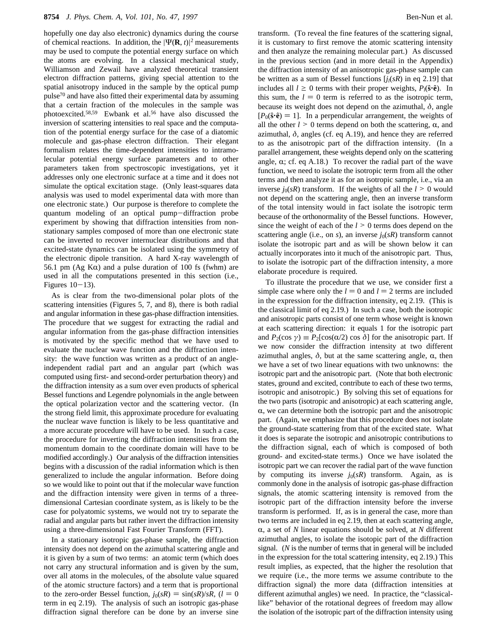hopefully one day also electronic) dynamics during the course of chemical reactions. In addition, the  $|\Psi(\mathbf{R}, t)|^2$  measurements may be used to compute the potential energy surface on which the atoms are evolving. In a classical mechanical study, Williamson and Zewail have analyzed theoretical transient electron diffraction patterns, giving special attention to the spatial anisotropy induced in the sample by the optical pump pulse<sup>70</sup> and have also fitted their experimental data by assuming that a certain fraction of the molecules in the sample was photoexcited.<sup>58,59</sup> Ewbank et al.<sup>56</sup> have also discussed the inversion of scattering intensities to real space and the computation of the potential energy surface for the case of a diatomic molecule and gas-phase electron diffraction. Their elegant formalism relates the time-dependent intensities to intramolecular potential energy surface parameters and to other parameters taken from spectroscopic investigations, yet it addresses only one electronic surface at a time and it does not simulate the optical excitation stage. (Only least-squares data analysis was used to model experimental data with more than one electronic state.) Our purpose is therefore to complete the quantum modeling of an optical pump-diffraction probe experiment by showing that diffraction intensities from nonstationary samples composed of more than one electronic state can be inverted to recover internuclear distributions and that excited-state dynamics can be isolated using the symmetry of the electronic dipole transition. A hard X-ray wavelength of 56.1 pm (Ag  $K\alpha$ ) and a pulse duration of 100 fs (fwhm) are used in all the computations presented in this section (i.e., Figures  $10-13$ ).

As is clear from the two-dimensional polar plots of the scattering intensities (Figures 5, 7, and 8), there is both radial and angular information in these gas-phase diffraction intensities. The procedure that we suggest for extracting the radial and angular information from the gas-phase diffraction intensities is motivated by the specific method that we have used to evaluate the nuclear wave function and the diffraction intensity: the wave function was written as a product of an angleindependent radial part and an angular part (which was computed using first- and second-order perturbation theory) and the diffraction intensity as a sum over even products of spherical Bessel functions and Legendre polynomials in the angle between the optical polarization vector and the scattering vector. (In the strong field limit, this approximate procedure for evaluating the nuclear wave function is likely to be less quantitative and a more accurate procedure will have to be used. In such a case, the procedure for inverting the diffraction intensities from the momentum domain to the coordinate domain will have to be modified accordingly.) Our analysis of the diffraction intensities begins with a discussion of the radial information which is then generalized to include the angular information. Before doing so we would like to point out that if the molecular wave function and the diffraction intensity were given in terms of a threedimensional Cartesian coordinate system, as is likely to be the case for polyatomic systems, we would not try to separate the radial and angular parts but rather invert the diffraction intensity using a three-dimensional Fast Fourier Transform (FFT).

In a stationary isotropic gas-phase sample, the diffraction intensity does not depend on the azimuthal scattering angle and it is given by a sum of two terms: an atomic term (which does not carry any structural information and is given by the sum, over all atoms in the molecules, of the absolute value squared of the atomic structure factors) and a term that is proportional to the zero-order Bessel function,  $j_0(sR) = \sin(sR)/sR$ , ( $l = 0$ ) term in eq 2.19). The analysis of such an isotropic gas-phase diffraction signal therefore can be done by an inverse sine

transform. (To reveal the fine features of the scattering signal, it is customary to first remove the atomic scattering intensity and then analyze the remaining molecular part.) As discussed in the previous section (and in more detail in the Appendix) the diffraction intensity of an anisotropic gas-phase sample can be written as a sum of Bessel functions  $[j/(sR)]$  in eq 2.19] that includes all  $l \ge 0$  terms with their proper weights,  $P_l(\hat{s} \cdot \hat{e})$ . In this sum, the  $l = 0$  term is referred to as the isotropic term, because its weight does not depend on the azimuthal, *δ*, angle  $[P_0(\hat{s} \cdot \hat{e})] = 1$ . In a perpendicular arrangement, the weights of all the other  $l > 0$  terms depend on both the scattering,  $\alpha$ , and azimuthal, *δ*, angles (cf. eq A.19), and hence they are referred to as the anisotropic part of the diffraction intensity. (In a parallel arrangement, these weights depend only on the scattering angle,  $\alpha$ ; cf. eq A.18.) To recover the radial part of the wave function, we need to isolate the isotropic term from all the other terms and then analyze it as for an isotropic sample, i.e., via an inverse  $j_0(sR)$  transform. If the weights of all the  $l > 0$  would not depend on the scattering angle, then an inverse transform of the total intensity would in fact isolate the isotropic term because of the orthonormality of the Bessel functions. However, since the weight of each of the  $l > 0$  terms does depend on the scattering angle (i.e., on  $s$ ), an inverse  $j_0(sR)$  transform cannot isolate the isotropic part and as will be shown below it can actually incorporates into it much of the anisotropic part. Thus, to isolate the isotropic part of the diffraction intensity, a more elaborate procedure is required.

To illustrate the procedure that we use, we consider first a simple case where only the  $l = 0$  and  $l = 2$  terms are included in the expression for the diffraction intensity, eq 2.19. (This is the classical limit of eq 2.19.) In such a case, both the isotropic and anisotropic parts consist of one term whose weight is known at each scattering direction: it equals 1 for the isotropic part and  $P_2(\cos \gamma) \equiv P_2[\cos(\alpha/2) \cos \delta]$  for the anisotropic part. If we now consider the diffraction intensity at two different azimuthal angles,  $\delta$ , but at the same scattering angle,  $\alpha$ , then we have a set of two linear equations with two unknowns: the isotropic part and the anisotropic part. (Note that both electronic states, ground and excited, contribute to each of these two terms, isotropic and anisotropic.) By solving this set of equations for the two parts (isotropic and anisotropic) at each scattering angle,  $\alpha$ , we can determine both the isotropic part and the anisotropic part. (Again, we emphasize that this procedure does not isolate the ground-state scattering from that of the excited state. What it does is separate the isotropic and anisotropic contributions to the diffraction signal, each of which is composed of both ground- and excited-state terms.) Once we have isolated the isotropic part we can recover the radial part of the wave function by computing its inverse  $j_0(sR)$  transform. Again, as is commonly done in the analysis of isotropic gas-phase diffraction signals, the atomic scattering intensity is removed from the isotropic part of the diffraction intensity before the inverse transform is performed. If, as is in general the case, more than two terms are included in eq 2.19, then at each scattering angle,  $\alpha$ , a set of *N* linear equations should be solved, at *N* different azimuthal angles, to isolate the isotopic part of the diffraction signal. (*N* is the number of terms that in general will be included in the expression for the total scattering intensity, eq 2.19.) This result implies, as expected, that the higher the resolution that we require (i.e., the more terms we assume contribute to the diffraction signal) the more data (diffraction intensities at different azimuthal angles) we need. In practice, the "classicallike" behavior of the rotational degrees of freedom may allow the isolation of the isotropic part of the diffraction intensity using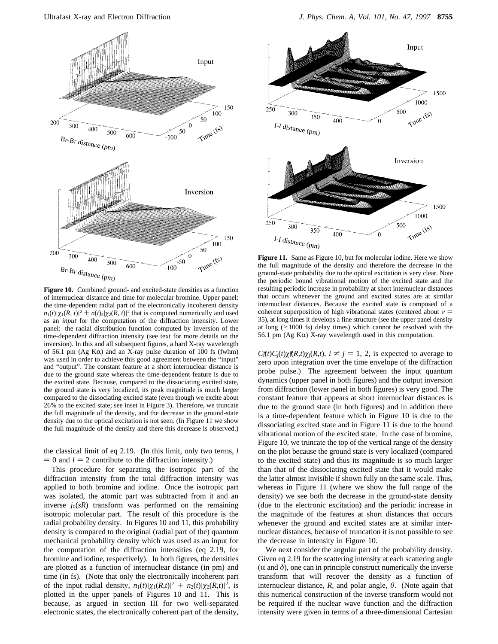

**Figure 10.** Combined ground- and excited-state densities as a function of internuclear distance and time for molecular bromine. Upper panel: the time-dependent radial part of the electronically incoherent density  $n_1(t)|\chi_1(R, t)|^2 + n(t)_2|\chi_2(R, t)|^2$  that is computed numerically and used as an *input* for the computation of the diffraction intensity. Lower panel: the radial distribution function computed by inversion of the time-dependent diffraction intensity (see text for more details on the inversion). In this and all subsequent figures, a hard X-ray wavelength of 56.1 pm (Ag  $K\alpha$ ) and an X-ray pulse duration of 100 fs (fwhm) was used in order to achieve this good agreement between the "input" and "output". The constant feature at a short internuclear distance is due to the ground state whereas the time-dependent feature is due to the excited state. Because, compared to the dissociating excited state, the ground state is very localized, its peak magnitude is much larger compared to the dissociating excited state (even though we excite about 26% to the excited state; see inset in Figure 3). Therefore, we truncate the full magnitude of the density, and the decrease in the ground-state density due to the optical excitation is not seen. (In Figure 11 we show the full magnitude of the density and there this decrease is observed.)

the classical limit of eq 2.19. (In this limit, only two terms, *l*  $= 0$  and  $l = 2$  contribute to the diffraction intensity.)

This procedure for separating the isotropic part of the diffraction intensity from the total diffraction intensity was applied to both bromine and iodine. Once the isotropic part was isolated, the atomic part was subtracted from it and an inverse  $j_0(sR)$  transform was performed on the remaining isotropic molecular part. The result of this procedure is the radial probability density. In Figures 10 and 11, this probability density is compared to the original (radial part of the) quantum mechanical probability density which was used as an input for the computation of the diffraction intensities (eq 2.19, for bromine and iodine, respectively). In both figures, the densities are plotted as a function of internuclear distance (in pm) and time (in fs). (Note that only the electronically incoherent part of the input radial density,  $n_1(t)|\chi_1(R,t)|^2 + n_2(t)|\chi_2(R,t)|^2$ , is plotted in the upper panels of Figures 10 and 11. This is because, as argued in section III for two well-separated electronic states, the electronically coherent part of the density,



**Figure 11.** Same as Figure 10, but for molecular iodine. Here we show the full magnitude of the density and therefore the decrease in the ground-state probability due to the optical excitation is very clear. Note the periodic bound vibrational motion of the excited state and the resulting periodic increase in probability at short internuclear distances that occurs whenever the ground and excited states are at similar internuclear distances. Because the excited state is composed of a coherent superposition of high vibrational states (centered about  $\nu$  = 35), at long times it develops a fine structure (see the upper panel density at long (>1000 fs) delay times) which cannot be resolved with the 56.1 pm (Ag  $K\alpha$ ) X-ray wavelength used in this computation.

 $C^*_i(t)C_i(t)\chi^*_i(R,t)\chi_i(R,t)$ ,  $i \neq j = 1, 2$ , is expected to average to zero upon integration over the time envelope of the diffraction probe pulse.) The agreement between the input quantum dynamics (upper panel in both figures) and the output inversion from diffraction (lower panel in both figures) is very good. The constant feature that appears at short internuclear distances is due to the ground state (in both figures) and in addition there is a time-dependent feature which in Figure 10 is due to the dissociating excited state and in Figure 11 is due to the bound vibrational motion of the excited state. In the case of bromine, Figure 10, we truncate the top of the vertical range of the density on the plot because the ground state is very localized (compared to the excited state) and thus its magnitude is so much larger than that of the dissociating excited state that it would make the latter almost invisible if shown fully on the same scale. Thus, whereas in Figure 11 (where we show the full range of the density) we see both the decrease in the ground-state density (due to the electronic excitation) and the periodic increase in the magnitude of the features at short distances that occurs whenever the ground and excited states are at similar internuclear distances, because of truncation it is not possible to see the decrease in intensity in Figure 10.

We next consider the angular part of the probability density. Given eq 2.19 for the scattering intensity at each scattering angle  $(\alpha$  and  $\delta)$ , one can in principle construct numerically the inverse transform that will recover the density as a function of internuclear distance, *R*, and polar angle, *θ*. (Note again that this numerical construction of the inverse transform would not be required if the nuclear wave function and the diffraction intensity were given in terms of a three-dimensional Cartesian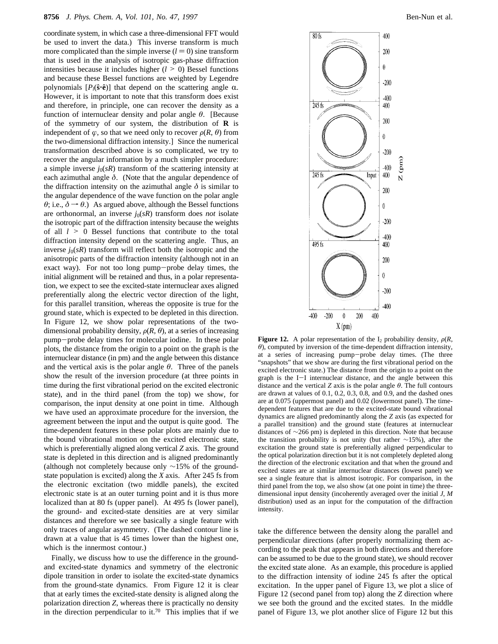coordinate system, in which case a three-dimensional FFT would be used to invert the data.) This inverse transform is much more complicated than the simple inverse  $(l = 0)$  sine transform that is used in the analysis of isotropic gas-phase diffraction intensities because it includes higher  $(l \geq 0)$  Bessel functions and because these Bessel functions are weighted by Legendre polynomials  $[P_l(\hat{s} \cdot \hat{e})]$  that depend on the scattering angle  $\alpha$ . However, it is important to note that this transform does exist and therefore, in principle, one can recover the density as a function of internuclear density and polar angle *θ*. [Because of the symmetry of our system, the distribution of **R** is independent of  $\varphi$ , so that we need only to recover  $\rho(R, \theta)$  from the two-dimensional diffraction intensity.] Since the numerical transformation described above is so complicated, we try to recover the angular information by a much simpler procedure: a simple inverse  $j_0(sR)$  transform of the scattering intensity at each azimuthal angle  $\delta$ . (Note that the angular dependence of the diffraction intensity on the azimuthal angle  $\delta$  is similar to the angular dependence of the wave function on the polar angle *θ*; i.e.,  $\delta \rightarrow \theta$ .) As argued above, although the Bessel functions are orthonormal, an inverse  $j_0(sR)$  transform does *not* isolate the isotropic part of the diffraction intensity because the weights of all *l* > 0 Bessel functions that contribute to the total diffraction intensity depend on the scattering angle. Thus, an inverse  $j_0(sR)$  transform will reflect both the isotropic and the anisotropic parts of the diffraction intensity (although not in an exact way). For not too long pump-probe delay times, the initial alignment will be retained and thus, in a polar representation, we expect to see the excited-state internuclear axes aligned preferentially along the electric vector direction of the light, for this parallel transition, whereas the opposite is true for the ground state, which is expected to be depleted in this direction. In Figure 12, we show polar representations of the twodimensional probability density,  $\rho(R, \theta)$ , at a series of increasing pump-probe delay times for molecular iodine. In these polar plots, the distance from the origin to a point on the graph is the internuclear distance (in pm) and the angle between this distance and the vertical axis is the polar angle  $\theta$ . Three of the panels show the result of the inversion procedure (at three points in time during the first vibrational period on the excited electronic state), and in the third panel (from the top) we show, for comparison, the input density at one point in time. Although we have used an approximate procedure for the inversion, the agreement between the input and the output is quite good. The time-dependent features in these polar plots are mainly due to the bound vibrational motion on the excited electronic state, which is preferentially aligned along vertical *Z* axis. The ground state is depleted in this direction and is aligned predominantly (although not completely because only ∼15% of the groundstate population is excited) along the *X* axis. After 245 fs from the electronic excitation (two middle panels), the excited electronic state is at an outer turning point and it is thus more localized than at 80 fs (upper panel). At 495 fs (lower panel), the ground- and excited-state densities are at very similar distances and therefore we see basically a single feature with only traces of angular asymmetry. (The dashed contour line is drawn at a value that is 45 times lower than the highest one, which is the innermost contour.)

Finally, we discuss how to use the difference in the groundand excited-state dynamics and symmetry of the electronic dipole transition in order to isolate the excited-state dynamics from the ground-state dynamics. From Figure 12 it is clear that at early times the excited-state density is aligned along the polarization direction *Z*, whereas there is practically no density in the direction perpendicular to it.<sup>70</sup> This implies that if we



**Figure 12.** A polar representation of the I<sub>2</sub> probability density,  $\rho(R)$ , *θ*), computed by inversion of the time-dependent diffraction intensity, at a series of increasing pump-probe delay times. (The three "snapshots" that we show are during the first vibrational period on the excited electronic state.) The distance from the origin to a point on the graph is the I-I internuclear distance, and the angle between this distance and the vertical *Z* axis is the polar angle  $\theta$ . The full contours are drawn at values of 0.1, 0.2, 0.3, 0.8, and 0.9, and the dashed ones are at 0.075 (uppermost panel) and 0.02 (lowermost panel). The timedependent features that are due to the excited-state bound vibrational dynamics are aligned predominantly along the *Z* axis (as expected for a parallel transition) and the ground state (features at internuclear distances of ∼266 pm) is depleted in this direction. Note that because the transition probability is not unity (but rather ∼15%), after the excitation the ground state is preferentially aligned perpendicular to the optical polarization direction but it is not completely depleted along the direction of the electronic excitation and that when the ground and excited states are at similar internuclear distances (lowest panel) we see a single feature that is almost isotropic. For comparison, in the third panel from the top, we also show (at one point in time) the threedimensional input density (incoherently averaged over the initial *J*, *M* distribution) used as an input for the computation of the diffraction intensity.

take the difference between the density along the parallel and perpendicular directions (after properly normalizing them according to the peak that appears in both directions and therefore can be assumed to be due to the ground state), we should recover the excited state alone. As an example, this procedure is applied to the diffraction intensity of iodine 245 fs after the optical excitation. In the upper panel of Figure 13, we plot a slice of Figure 12 (second panel from top) along the *Z* direction where we see both the ground and the excited states. In the middle panel of Figure 13, we plot another slice of Figure 12 but this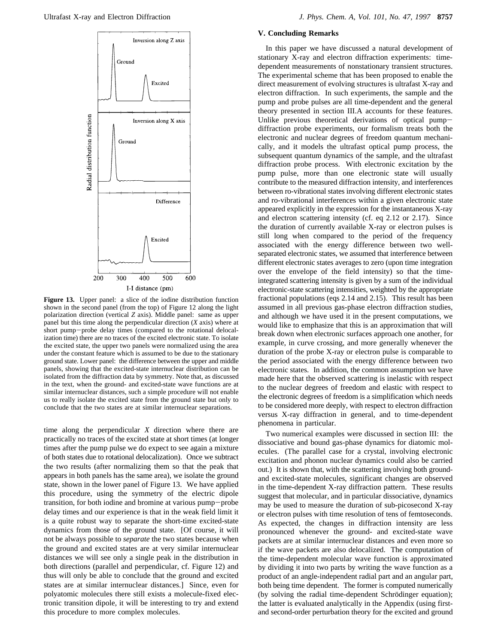

**Figure 13.** Upper panel: a slice of the iodine distribution function shown in the second panel (from the top) of Figure 12 along the light polarization direction (vertical *Z* axis). Middle panel: same as upper panel but this time along the perpendicular direction (*X* axis) where at short pump-probe delay times (compared to the rotational delocalization time) there are no traces of the excited electronic state. To isolate the excited state, the upper two panels were normalized using the area under the constant feature which is assumed to be due to the stationary ground state. Lower panel: the difference between the upper and middle panels, showing that the excited-state internuclear distribution can be isolated from the diffraction data by symmetry. Note that, as discussed in the text, when the ground- and excited-state wave functions are at similar internuclear distances, such a simple procedure will not enable us to really isolate the excited state from the ground state but only to conclude that the two states are at similar internuclear separations.

time along the perpendicular *X* direction where there are practically no traces of the excited state at short times (at longer times after the pump pulse we do expect to see again a mixture of both states due to rotational delocalization). Once we subtract the two results (after normalizing them so that the peak that appears in both panels has the same area), we isolate the ground state, shown in the lower panel of Figure 13. We have applied this procedure, using the symmetry of the electric dipole transition, for both iodine and bromine at various pump-probe delay times and our experience is that in the weak field limit it is a quite robust way to separate the short-time excited-state dynamics from those of the ground state. [Of course, it will not be always possible to *separate* the two states because when the ground and excited states are at very similar internuclear distances we will see only a single peak in the distribution in both directions (parallel and perpendicular, cf. Figure 12) and thus will only be able to conclude that the ground and excited states are at similar internuclear distances.] Since, even for polyatomic molecules there still exists a molecule-fixed electronic transition dipole, it will be interesting to try and extend this procedure to more complex molecules.

#### **V. Concluding Remarks**

In this paper we have discussed a natural development of stationary X-ray and electron diffraction experiments: timedependent measurements of nonstationary transient structures. The experimental scheme that has been proposed to enable the direct measurement of evolving structures is ultrafast X-ray and electron diffraction. In such experiments, the sample and the pump and probe pulses are all time-dependent and the general theory presented in section III.A accounts for these features. Unlike previous theoretical derivations of optical pumpdiffraction probe experiments, our formalism treats both the electronic and nuclear degrees of freedom quantum mechanically, and it models the ultrafast optical pump process, the subsequent quantum dynamics of the sample, and the ultrafast diffraction probe process. With electronic excitation by the pump pulse, more than one electronic state will usually contribute to the measured diffraction intensity, and interferences between ro-vibrational states involving different electronic states and ro-vibrational interferences within a given electronic state appeared explicitly in the expression for the instantaneous X-ray and electron scattering intensity (cf. eq 2.12 or 2.17). Since the duration of currently available X-ray or electron pulses is still long when compared to the period of the frequency associated with the energy difference between two wellseparated electronic states, we assumed that interference between different electronic states averages to zero (upon time integration over the envelope of the field intensity) so that the timeintegrated scattering intensity is given by a sum of the individual electronic-state scattering intensities, weighted by the appropriate fractional populations (eqs 2.14 and 2.15). This result has been assumed in all previous gas-phase electron diffraction studies, and although we have used it in the present computations, we would like to emphasize that this is an approximation that will break down when electronic surfaces approach one another, for example, in curve crossing, and more generally whenever the duration of the probe X-ray or electron pulse is comparable to the period associated with the energy difference between two electronic states. In addition, the common assumption we have made here that the observed scattering is inelastic with respect to the nuclear degrees of freedom and elastic with respect to the electronic degrees of freedom is a simplification which needs to be considered more deeply, with respect to electron diffraction versus X-ray diffraction in general, and to time-dependent phenomena in particular.

Two numerical examples were discussed in section III: the dissociative and bound gas-phase dynamics for diatomic molecules. (The parallel case for a crystal, involving electronic excitation and phonon nuclear dynamics could also be carried out.) It is shown that, with the scattering involving both groundand excited-state molecules, significant changes are observed in the time-dependent X-ray diffraction pattern. These results suggest that molecular, and in particular dissociative, dynamics may be used to measure the duration of sub-picosecond X-ray or electron pulses with time resolution of tens of femtoseconds. As expected, the changes in diffraction intensity are less pronounced whenever the ground- and excited-state wave packets are at similar internuclear distances and even more so if the wave packets are also delocalized. The computation of the time-dependent molecular wave function is approximated by dividing it into two parts by writing the wave function as a product of an angle-independent radial part and an angular part, both being time dependent. The former is computed numerically (by solving the radial time-dependent Schrödinger equation); the latter is evaluated analytically in the Appendix (using firstand second-order perturbation theory for the excited and ground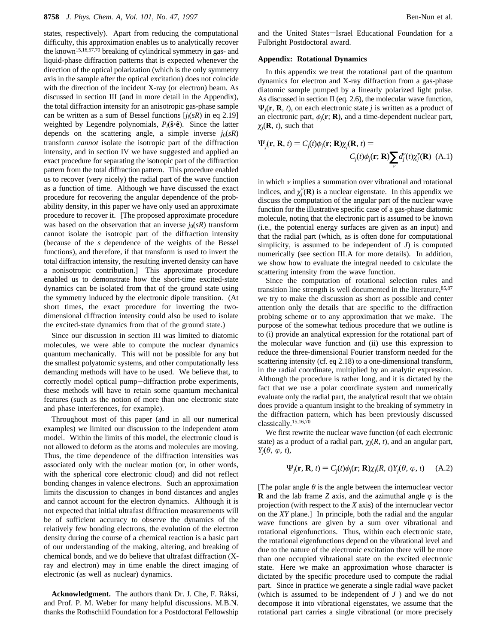states, respectively). Apart from reducing the computational difficulty, this approximation enables us to analytically recover the known15,16,57,70 breaking of cylindrical symmetry in gas- and liquid-phase diffraction patterns that is expected whenever the direction of the optical polarization (which is the only symmetry axis in the sample after the optical excitation) does not coincide with the direction of the incident X-ray (or electron) beam. As discussed in section III (and in more detail in the Appendix), the total diffraction intensity for an anisotropic gas-phase sample can be written as a sum of Bessel functions [*jl*(*sR*) in eq 2.19] weighted by Legendre polynomials,  $P_{\ell}(\hat{s} \cdot \hat{e})$ . Since the latter depends on the scattering angle, a simple inverse  $j_0(sR)$ transform *cannot* isolate the isotropic part of the diffraction intensity, and in section IV we have suggested and applied an exact procedure for separating the isotropic part of the diffraction pattern from the total diffraction pattern. This procedure enabled us to recover (very nicely) the radial part of the wave function as a function of time. Although we have discussed the exact procedure for recovering the angular dependence of the probability density, in this paper we have only used an approximate procedure to recover it. [The proposed approximate procedure was based on the observation that an inverse  $j_0(sR)$  transform cannot isolate the isotropic part of the diffraction intensity (because of the *s* dependence of the weights of the Bessel functions), and therefore, if that transform is used to invert the total diffraction intensity, the resulting inverted density can have a nonisotropic contribution.] This approximate procedure enabled us to demonstrate how the short-time excited-state dynamics can be isolated from that of the ground state using the symmetry induced by the electronic dipole transition. (At short times, the exact procedure for inverting the twodimensional diffraction intensity could also be used to isolate the excited-state dynamics from that of the ground state.)

Since our discussion in section III was limited to diatomic molecules, we were able to compute the nuclear dynamics quantum mechanically. This will not be possible for any but the smallest polyatomic systems, and other computationally less demanding methods will have to be used. We believe that, to correctly model optical pump-diffraction probe experiments, these methods will have to retain some quantum mechanical features (such as the notion of more than one electronic state and phase interferences, for example).

Throughout most of this paper (and in all our numerical examples) we limited our discussion to the independent atom model. Within the limits of this model, the electronic cloud is not allowed to deform as the atoms and molecules are moving. Thus, the time dependence of the diffraction intensities was associated only with the nuclear motion (or, in other words, with the spherical core electronic cloud) and did not reflect bonding changes in valence electrons. Such an approximation limits the discussion to changes in bond distances and angles and cannot account for the electron dynamics. Although it is not expected that initial ultrafast diffraction measurements will be of sufficient accuracy to observe the dynamics of the relatively few bonding electrons, the evolution of the electron density during the course of a chemical reaction is a basic part of our understanding of the making, altering, and breaking of chemical bonds, and we do believe that ultrafast diffraction (Xray and electron) may in time enable the direct imaging of electronic (as well as nuclear) dynamics.

Acknowledgment. The authors thank Dr. J. Che, F. Ráksi, and Prof. P. M. Weber for many helpful discussions. M.B.N. thanks the Rothschild Foundation for a Postdoctoral Fellowship

and the United States-Israel Educational Foundation for a Fulbright Postdoctoral award.

#### **Appendix: Rotational Dynamics**

In this appendix we treat the rotational part of the quantum dynamics for electron and X-ray diffraction from a gas-phase diatomic sample pumped by a linearly polarized light pulse. As discussed in section II (eq. 2.6), the molecular wave function,  $\Psi_i(\mathbf{r}, \mathbf{R}, t)$ , on each electronic state *j* is written as a product of an electronic part,  $\phi_j(\mathbf{r}; \mathbf{R})$ , and a time-dependent nuclear part,  $\chi_i(\mathbf{R}, t)$ , such that

$$
\Psi_j(\mathbf{r}, \mathbf{R}, t) = C_j(t)\phi_j(\mathbf{r}; \mathbf{R})\chi_j(\mathbf{R}, t) =
$$
  

$$
C_j(t)\phi_j(\mathbf{r}; \mathbf{R})\sum_{\nu} d_j^{\nu}(t)\chi_j^{\nu}(\mathbf{R})
$$
 (A.1)

in which *ν* implies a summation over vibrational and rotational indices, and  $\chi_j^{\nu}(\mathbf{R})$  is a nuclear eigenstate. In this appendix we discuss the computation of the angular part of the nuclear wave function for the illustrative specific case of a gas-phase diatomic molecule, noting that the electronic part is assumed to be known (i.e., the potential energy surfaces are given as an input) and that the radial part (which, as is often done for computational simplicity, is assumed to be independent of *J*) is computed numerically (see section III.A for more details). In addition, we show how to evaluate the integral needed to calculate the scattering intensity from the wave function.

Since the computation of rotational selection rules and transition line strength is well documented in the literature,  $85,87$ we try to make the discussion as short as possible and center attention only the details that are specific to the diffraction probing scheme or to any approximation that we make. The purpose of the somewhat tedious procedure that we outline is to (i) provide an analytical expression for the rotational part of the molecular wave function and (ii) use this expression to reduce the three-dimensional Fourier transform needed for the scattering intensity (cf. eq 2.18) to a one-dimensional transform, in the radial coordinate, multiplied by an analytic expression. Although the procedure is rather long, and it is dictated by the fact that we use a polar coordinate system and numerically evaluate only the radial part, the analytical result that we obtain does provide a quantum insight to the breaking of symmetry in the diffraction pattern, which has been previously discussed classically.15,16,70

We first rewrite the nuclear wave function (of each electronic state) as a product of a radial part,  $\chi_i(R, t)$ , and an angular part, *Yj*(*θ*, *æ*, *t*),

$$
\Psi_j(\mathbf{r}, \mathbf{R}, t) = C_j(t)\phi_j(\mathbf{r}; \mathbf{R})\chi_j(R, t)Y_j(\theta, \varphi, t) \quad \text{(A.2)}
$$

[The polar angle  $\theta$  is the angle between the internuclear vector **R** and the lab frame *Z* axis, and the azimuthal angle  $\varphi$  is the projection (with respect to the *X* axis) of the internuclear vector on the *XY* plane.] In principle, both the radial and the angular wave functions are given by a sum over vibrational and rotational eigenfunctions. Thus, within each electronic state, the rotational eigenfunctions depend on the vibrational level and due to the nature of the electronic excitation there will be more than one occupied vibrational state on the excited electronic state. Here we make an approximation whose character is dictated by the specific procedure used to compute the radial part. Since in practice we generate a single radial wave packet (which is assumed to be independent of *J* ) and we do not decompose it into vibrational eigenstates, we assume that the rotational part carries a single vibrational (or more precisely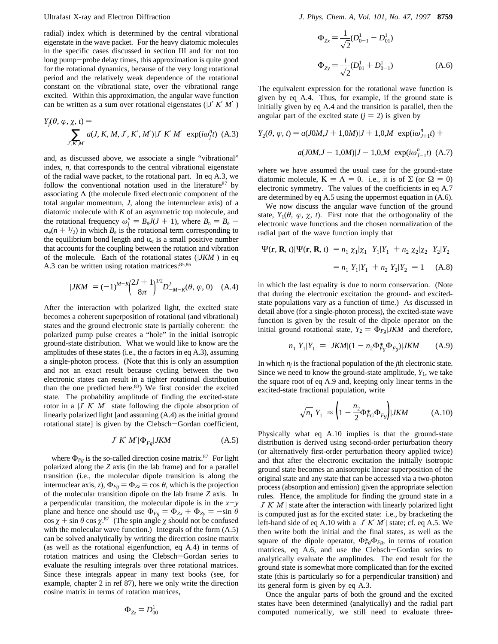radial) index which is determined by the central vibrational eigenstate in the wave packet. For the heavy diatomic molecules in the specific cases discussed in section III and for not too long pump-probe delay times, this approximation is quite good for the rotational dynamics, because of the very long rotational period and the relatively weak dependence of the rotational constant on the vibrational state, over the vibrational range excited. Within this approximation, the angular wave function can be written as a sum over rotational eigenstates (|*J*′ *K*′ *M*′〉)

$$
Y_j(\theta, \varphi, \chi, t) = \sum_{J', K', M'} a(J, K, M, J', K', M') | J' K' M' \rangle \exp(i\omega_j^n t) \tag{A.3}
$$

and, as discussed above, we associate a single "vibrational" index, *n*, that corresponds to the central vibrational eigenstate of the radial wave packet, to the rotational part. In eq A.3, we follow the conventional notation used in the literature  $87$  by associating  $\Lambda$  (the molecule fixed electronic component of the total angular momentum, *J*, along the internuclear axis) of a diatomic molecule with *K* of an asymmetric top molecule, and the rotational frequency  $\omega_j^n = B_n J(J + 1)$ , where  $B_n = B_e$  –  $\alpha_e(n + \frac{1}{2})$  in which  $B_e$  is the rotational term corresponding to the equilibrium bond length and  $\alpha_e$  is a small positive number that accounts for the coupling between the rotation and vibration of the molecule. Each of the rotational states (|*JKM*〉) in eq A.3 can be written using rotation matrices: $85,86$ 

$$
|JKM\rangle = (-1)^{M-K} \left(\frac{2J+1}{8\pi}\right)^{1/2} D_{-M-K}^J(\theta, \varphi, 0) \quad \text{(A.4)}
$$

After the interaction with polarized light, the excited state becomes a coherent superposition of rotational (and vibrational) states and the ground electronic state is partially coherent: the polarized pump pulse creates a "hole" in the initial isotropic ground-state distribution. What we would like to know are the amplitudes of these states (i.e., the *a* factors in eq A.3), assuming a single-photon process. (Note that this is only an assumption and not an exact result because cycling between the two electronic states can result in a tighter rotational distribution than the one predicted here. $83$ ) We first consider the excited state. The probability amplitude of finding the excited-state rotor in a  $|J' K'M'\rangle$  state following the dipole absorption of linearly polarized light [and assuming (A.4) as the initial ground rotational state] is given by the Clebsch-Gordan coefficient,

$$
\langle J' K' M' | \Phi_{Fg} | J K M \rangle \tag{A.5}
$$

where  $\Phi_{Fe}$  is the so-called direction cosine matrix.<sup>87</sup> For light polarized along the *Z* axis (in the lab frame) and for a parallel transition (i.e., the molecular dipole transition is along the internuclear axis, *z*),  $\Phi_{Fg} = \Phi_{Zz} = \cos \theta$ , which is the projection of the molecular transition dipole on the lab frame *Z* axis. In a perpendicular transition, the molecular dipole is in the  $x-y$ plane and hence one should use  $\Phi_{Fg} = \Phi_{Zx} + \Phi_{Zy} = -\sin \theta$  $\cos \chi + \sin \theta \cos \chi$ <sup>87</sup> (The spin angle  $\chi$  should not be confused with the molecular wave function.) Integrals of the form  $(A.5)$ can be solved analytically by writing the direction cosine matrix (as well as the rotational eigenfunction, eq A.4) in terms of rotation matrices and using the Clebsch-Gordan series to evaluate the resulting integrals over three rotational matrices. Since these integrals appear in many text books (see, for example, chapter 2 in ref 87), here we only write the direction cosine matrix in terms of rotation matrices,

$$
\Phi_{Zz} = D_{00}^1
$$

$$
\Phi_{Zx} = \frac{1}{\sqrt{2}} (D_{0-1}^1 - D_{01}^1)
$$
\n
$$
\Phi_{Zy} = \frac{i}{\sqrt{2}} (D_{01}^1 + D_{0-1}^1)
$$
\n(A.6)

The equivalent expression for the rotational wave function is given by eq A.4. Thus, for example, if the ground state is initially given by eq A.4 and the transition is parallel, then the angular part of the excited state  $(j = 2)$  is given by

$$
Y_2(\theta, \varphi, t) = a(J0M, J + 1, 0M)|J + 1, 0, M\rangle \exp(i\omega_{J+1}^n t) + a(J0M, J - 1, 0M)|J - 1, 0, M\rangle \exp(i\omega_{J-1}^n t) \tag{A.7}
$$

where we have assumed the usual case for the ground-state diatomic molecule,  $K = \Lambda = 0$ . i.e., it is of  $\Sigma$  (or  $\Omega = 0$ ) electronic symmetry. The values of the coefficients in eq A.7 are determined by eq A.5 using the uppermost equation in (A.6).

We now discuss the angular wave function of the ground state,  $Y_1(\theta, \varphi, \chi, t)$ . First note that the orthogonality of the electronic wave functions and the chosen normalization of the radial part of the wave function imply that

$$
\langle \Psi(\mathbf{r}, \mathbf{R}, t) | \Psi(\mathbf{r}, \mathbf{R}, t) \rangle = n_1 \langle \chi_1 | \chi_1 \rangle \langle Y_1 | Y_1 \rangle + n_2 \langle \chi_2 | \chi_2 \rangle \langle Y_2 | Y_2 \rangle
$$
  
=  $n_1 \langle Y_1 | Y_1 \rangle + n_2 \langle Y_2 | Y_2 \rangle = 1$  (A.8)

in which the last equality is due to norm conservation. (Note that during the electronic excitation the ground- and excitedstate populations vary as a function of time.) As discussed in detail above (for a single-photon process), the excited-state wave function is given by the result of the dipole operator on the initial ground rotational state,  $Y_2 = \Phi_{Fg}|JKM\rangle$  and therefore,

$$
n_1 \langle Y_1 | Y_1 \rangle = \langle JKM | (1 - n_2 \Phi_{Fg}^* \Phi_{Fg}) | JKM \rangle \tag{A.9}
$$

In which  $n_i$  is the fractional population of the *j*th electronic state. Since we need to know the ground-state amplitude,  $Y_1$ , we take the square root of eq A.9 and, keeping only linear terms in the excited-state fractional population, write

$$
\sqrt{n_1}|Y_1\rangle \approx \left(1 - \frac{n_2}{2}\Phi_{FG}^* \Phi_{Fg}\right)|JKM\rangle \tag{A.10}
$$

Physically what eq A.10 implies is that the ground-state distribution is derived using second-order perturbation theory (or alternatively first-order perturbation theory applied twice) and that after the electronic excitation the initially isotropic ground state becomes an anisotropic linear superposition of the original state and any state that can be accessed via a two-photon process (absorption and emission) given the appropriate selection rules. Hence, the amplitude for finding the ground state in a  $\langle J' K' M' \rangle$  state after the interaction with linearly polarized light is computed just as for the excited state: i.e., by bracketing the left-hand side of eq A.10 with a  $\langle J' K' M' \rangle$  state; cf. eq A.5. We then write both the initial and the final states, as well as the square of the dipole operator,  $\Phi_{fg}^* \Phi_{Fg}$ , in terms of rotation matrices, eq A.6, and use the Clebsch-Gordan series to analytically evaluate the amplitudes. The end result for the ground state is somewhat more complicated than for the excited state (this is particularly so for a perpendicular transition) and its general form is given by eq A.3.

Once the angular parts of both the ground and the excited states have been determined (analytically) and the radial part computed numerically, we still need to evaluate three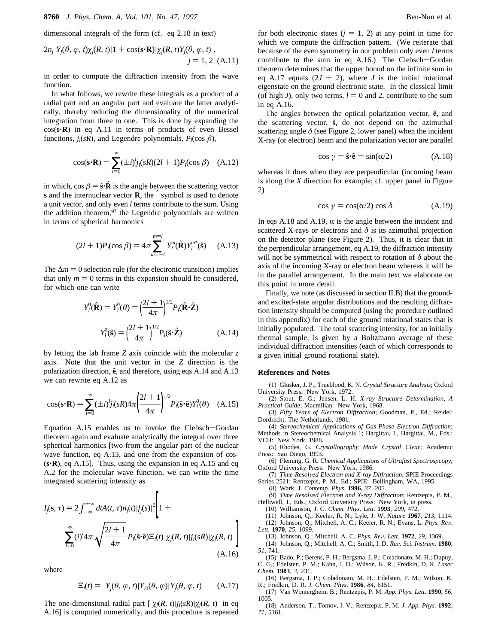dimensional integrals of the form (cf. eq 2.18 in text)

$$
2n_j\langle Y_j(\theta, \varphi, t)\chi_j(R, t)|1 + \cos(s \cdot \mathbf{R})|\chi_j(R, t)Y_j(\theta, \varphi, t)\rangle, j = 1, 2 \text{ (A.11)}
$$

in order to compute the diffraction intensity from the wave function.

In what follows, we rewrite these integrals as a product of a radial part and an angular part and evaluate the latter analytically, thereby reducing the dimensionality of the numerical integration from three to one. This is done by expanding the cos(**s**'**R**) in eq A.11 in terms of products of even Bessel functions,  $j_l(sR)$ , and Legendre polynomials,  $P_l(\cos \beta)$ ,

$$
\cos(\mathbf{s} \cdot \mathbf{R}) = \sum_{l=0}^{\infty} (\pm i)^l j_l(sR)(2l+1) P_l(\cos \beta) \quad \text{(A.12)}
$$

in which,  $\cos \beta = \hat{s} \cdot \hat{R}$  is the angle between the scattering vector **s** and the internuclear vector **R**, the symbol is used to denote a unit vector, and only even *l* terms contribute to the sum. Using the addition theorem,  $97$  the Legendre polynomials are written in terms of spherical harmonics

$$
(2l+1)P_l(\cos\beta) = 4\pi \sum_{m=-l}^{m=l} Y_l^m(\hat{\mathbf{R}})Y_l^{m*}(\hat{\mathbf{s}}) \quad (A.13)
$$

The  $\Delta m = 0$  selection rule (for the electronic transition) implies that only  $m = 0$  terms in this expansion should be considered, for which one can write

$$
Y_l^0(\hat{\mathbf{R}}) = Y_l^0(\theta) = \left(\frac{2l+1}{4\pi}\right)^{1/2} P_l(\hat{\mathbf{R}} \cdot \hat{\mathbf{Z}})
$$

$$
Y_l^0(\hat{\mathbf{s}}) = \left(\frac{2l+1}{4\pi}\right)^{1/2} P_l(\hat{\mathbf{s}} \cdot \hat{\mathbf{Z}})
$$
(A.14)

by letting the lab frame *Z* axis coincide with the molecular *z* axis. Note that the unit vector in the *Z* direction is the polarization direction,  $\hat{\mathbf{e}}$ , and therefore, using eqs A.14 and A.13 we can rewrite eq A.12 as

$$
\cos(\mathbf{s} \cdot \mathbf{R}) = \sum_{l=0}^{\infty} (\pm i)^l j_l(sR) 4\pi \left( \frac{2l+1}{4\pi} \right)^{1/2} P_l(\hat{\mathbf{s}} \cdot \hat{\mathbf{e}}) Y_l^0(\theta) \quad \text{(A.15)}
$$

Equation A.15 enables us to invoke the Clebsch-Gordan theorem again and evaluate analytically the integral over three spherical harmonics [two from the angular part of the nuclear wave function, eq A.13, and one from the expansion of cos- (**s**'**R**), eq A.15]. Thus, using the expansion in eq A.15 and eq A.2 for the molecular wave function, we can write the time integrated scattering intensity as

$$
I_j(\mathbf{s}, \tau) = 2 \int_{-\infty}^{+\infty} dt A(t, \tau) n_j(t) |f_j(s)|^2 \left[ 1 + \sum_{l=0}^{\infty} (i)^l 4\pi \sqrt{\frac{2l+1}{4\pi}} P_l(\hat{\mathbf{s}} \cdot \hat{\mathbf{e}}) \Xi_l(t) \langle \chi_j(R, t) | j_l(sR) | \chi_j(R, t) \rangle \right]
$$
\n(A.16)

where

$$
\Xi_l(t) = \langle Y_j(\theta, \varphi, t) | Y_{l0}(\theta, \varphi) | Y_j(\theta, \varphi, t) \rangle \qquad (A.17)
$$

ŕ

The one-dimensional radial part  $[\langle \chi_i(R, t) | j_i(sR) | \chi_i(R, t) \rangle$  in eq A.16] is computed numerically, and this procedure is repeated

for both electronic states  $(j = 1, 2)$  at any point in time for which we compute the diffraction pattern. (We reiterate that because of the even symmetry in our problem only even *l* terms contribute to the sum in eq A.16.) The Clebsch-Gordan theorem determines that the upper bound on the infinite sum in eq A.17 equals  $(2J + 2)$ , where *J* is the initial rotational eigenstate on the ground electronic state. In the classical limit (of high *J*), only two terms,  $l = 0$  and 2, contribute to the sum in eq A.16.

The angles between the optical polarization vector,  $\hat{\mathbf{e}}$ , and the scattering vector, **s**ˆ, do not depend on the azimuthal scattering angle  $\delta$  (see Figure 2, lower panel) when the incident X-ray (or electron) beam and the polarization vector are parallel

$$
\cos \gamma = \hat{\mathbf{s}} \cdot \hat{\mathbf{e}} = \sin(\alpha/2) \tag{A.18}
$$

whereas it does when they are perpendicular (incoming beam is along the *X* direction for example; cf. upper panel in Figure 2)

$$
\cos \gamma = \cos(\alpha/2) \cos \delta \tag{A.19}
$$

In eqs A.18 and A.19,  $\alpha$  is the angle between the incident and scattered X-rays or electrons and  $\delta$  is its azimuthal projection on the detector plane (see Figure 2). Thus, it is clear that in the perpendicular arrangement, eq A.19, the diffraction intensity will not be symmetrical with respect to rotation of *δ* about the axis of the incoming X-ray or electron beam whereas it will be in the parallel arrangement. In the main text we elaborate on this point in more detail.

Finally, we note (as discussed in section II.B) that the groundand excited-state angular distributions and the resulting diffraction intensity should be computed (using the procedure outlined in this appendix) for each of the ground rotational states that is initially populated. The total scattering intensity, for an initially thermal sample, is given by a Boltzmann average of these individual diffraction intensities (each of which corresponds to a given initial ground rotational state).

#### **References and Notes**

(1) Glusker, J. P.; Trueblood, K. N. *Crystal Structure Analysis*; Oxford University Press: New York, 1972.

(2) Stout, E. G.; Jensen, L. H. *X-ray Structure Determination, A Practical Guide*; Macmillan: New York, 1968.

(3) *Fifty Years of Electron Diffraction*; Goodman, P., Ed.; Reidel: Dordrecht, The Netherlands, 1981.

(4) *Stereochemical Applications of Gas-Phase Electron Diffraction*; Methods in Stereochemical Analysis 1; Hargittai, I., Hargittai, M., Eds.; VCH: New York, 1988.

(5) Rhodes, G. *Crystallography Made Crystal Clear*; Academic Press: San Diego, 1993.

(6) Fleming, G. R. *Chemical Applications of Ultrafast Spectrospcopy*; Oxford University Press: New York, 1986.

(7) *Time-Resol*V*ed Electron and X-ray Diffraction*; SPIE Proceedings Series 2521; Rentzepis, P. M., Ed.; SPIE: Bellingham, WA, 1995.

(8) Wark, J. *Contemp. Phys.* **1996**, *37*, 205.

(9) *Time Resol*V*ed Electron and X-ray Diffraction*; Rentzepis, P. M., Helliwell, J., Eds.; Oxford University Press: New York, in press.

(10) Williamson, J. C. *Chem. Phys. Lett.* **1993**, *209*, 472.

(11) Johnson, Q.; Keeler, R. N.; Lyle, J. W. *Nature* **1967**, *213*, 1114. (12) Johnson, Q.; Mitchell, A. C.; Keeler, R. N.; Evans, L. *Phys. Re*V*. Lett.* **1970**, *25*, 1099.

(13) Johnson, Q.; Mitchell, A. C. *Phys. Re*V*. Lett.* **1972**, *29*, 1369.

(14) Johnson, Q.; Mitchell, A. C.; Smith, I. D. *Re*V*. Sci. Instrum.* **1980**,

*51*, 741.

(15) Bado, P.; Berens, P. H.; Bergsma, J. P.; Coladonato, M. H.; Dupuy, C. G.; Edelsten, P. M.; Kahn, J. D.; Wilson, K. R.; Fredkin, D. R. *Laser Chem.* **1983**, *3*, 231.

(16) Bergsma, J. P.; Coladonato, M. H.; Edelsten, P. M.; Wilson, K. R.; Fredkin, D. R. *J. Chem. Phys.* **1986**, *84*, 6151.

(17) Van Wonterghem, B.; Rentzepis, P. M. *App. Phys. Lett.* **1990**, *56*, 1005.

(18) Anderson, T.; Tomov, I. V.; Rentzepis, P. M. *J. App. Phys.* **1992**, *71*, 5161.